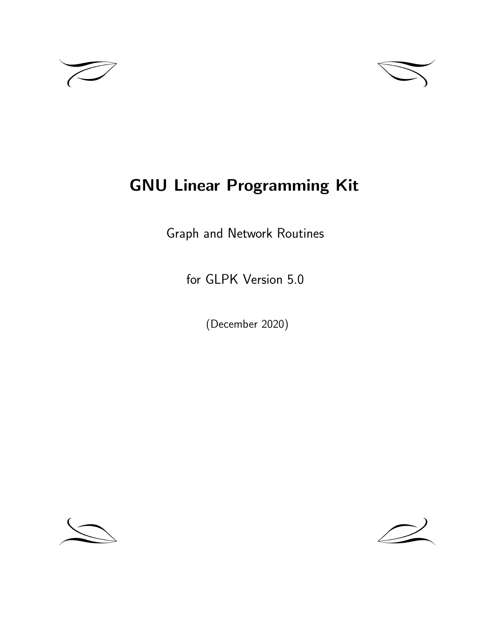



# **GNU Linear Programming Kit**

Graph and Network Routines

for GLPK Version 5.0

(December 2020)



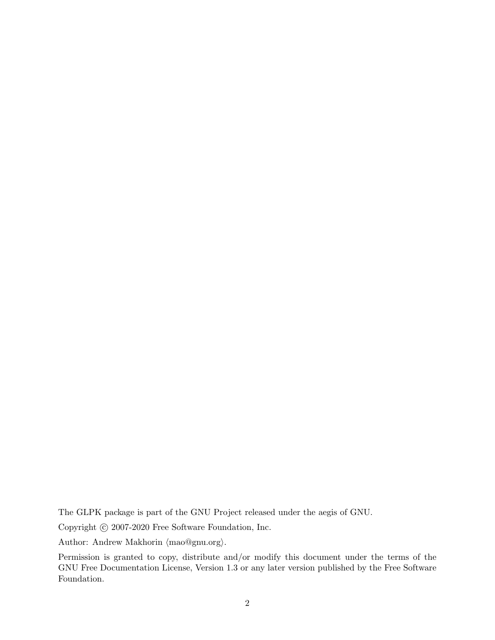The GLPK package is part of the GNU Project released under the aegis of GNU.

Copyright  $\odot$  2007-2020 Free Software Foundation, Inc.

Author: Andrew Makhorin *⟨*mao@gnu.org*⟩*.

Permission is granted to copy, distribute and/or modify this document under the terms of the GNU Free Documentation License, Version 1.3 or any later version published by the Free Software Foundation.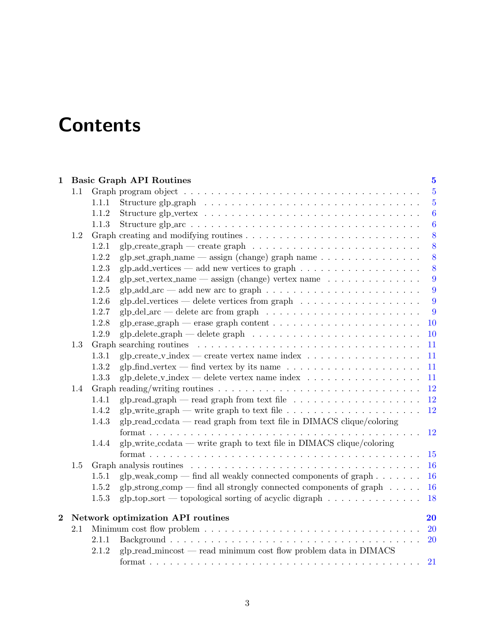# **Contents**

|                |     |       | 1 Basic Graph API Routines                                                                                | $\mathbf{5}$     |
|----------------|-----|-------|-----------------------------------------------------------------------------------------------------------|------------------|
|                | 1.1 |       |                                                                                                           | $\overline{5}$   |
|                |     | 1.1.1 | Structure glp_graph $\ldots \ldots \ldots \ldots \ldots \ldots \ldots \ldots \ldots \ldots \ldots \ldots$ | $5\overline{)}$  |
|                |     | 1.1.2 |                                                                                                           | $\boldsymbol{6}$ |
|                |     | 1.1.3 |                                                                                                           | $\boldsymbol{6}$ |
|                | 1.2 |       |                                                                                                           | 8                |
|                |     | 1.2.1 |                                                                                                           | 8                |
|                |     | 1.2.2 | glp_set_graph_name $-$ assign (change) graph name $\ldots \ldots \ldots \ldots \ldots$                    | 8                |
|                |     | 1.2.3 | glp_add_vertices — add new vertices to graph $\dots \dots \dots \dots \dots \dots$                        | 8                |
|                |     | 1.2.4 | glp_set_vertex_name $-$ assign (change) vertex name $\dots \dots \dots \dots \dots$                       | 9                |
|                |     | 1.2.5 | glp_add_arc $-$ add new arc to graph $\ldots \ldots \ldots \ldots \ldots \ldots \ldots \ldots$            | 9                |
|                |     | 1.2.6 | $glp$ -del-vertices — delete vertices from graph $\ldots \ldots \ldots \ldots \ldots \ldots$              | 9                |
|                |     | 1.2.7 |                                                                                                           | 9                |
|                |     | 1.2.8 |                                                                                                           | <b>10</b>        |
|                |     | 1.2.9 |                                                                                                           | 10               |
|                | 1.3 |       |                                                                                                           | 11               |
|                |     | 1.3.1 |                                                                                                           | 11               |
|                |     | 1.3.2 | glp_find_vertex — find vertex by its name $\ldots \ldots \ldots \ldots \ldots \ldots \ldots$              | 11               |
|                |     | 1.3.3 | glp_delete_v_index — delete vertex name index $\ldots \ldots \ldots \ldots \ldots \ldots$                 | 11               |
|                | 1.4 |       |                                                                                                           | 12               |
|                |     | 1.4.1 | glp_read_graph — read graph from text file $\dots \dots \dots \dots \dots \dots \dots$                    | 12               |
|                |     | 1.4.2 | glp_write_graph — write graph to text file $\ldots \ldots \ldots \ldots \ldots \ldots$                    | 12               |
|                |     | 1.4.3 | $glp_{\text{read-ccdata}}$ — read graph from text file in DIMACS clique/coloring                          |                  |
|                |     |       |                                                                                                           | <sup>12</sup>    |
|                |     | 1.4.4 | $g$ lp_write_ccdata — write graph to text file in DIMACS clique/coloring                                  |                  |
|                |     |       |                                                                                                           | 15               |
|                | 1.5 |       |                                                                                                           | 16               |
|                |     | 1.5.1 | $g$ lp_weak_comp — find all weakly connected components of graph $\dots \dots$                            | 16               |
|                |     | 1.5.2 | glp_strong_comp — find all strongly connected components of graph $\dots$ .                               | <b>16</b>        |
|                |     | 1.5.3 | $g$ lp_top_sort — topological sorting of acyclic digraph $\dots \dots \dots \dots$                        | 18               |
| $\overline{2}$ |     |       | Network optimization API routines                                                                         | 20               |
|                | 2.1 |       |                                                                                                           | <b>20</b>        |
|                |     | 2.1.1 |                                                                                                           | 20               |
|                |     | 2.1.2 | glp_read_mincost — read minimum cost flow problem data in DIMACS                                          |                  |
|                |     |       |                                                                                                           | 21               |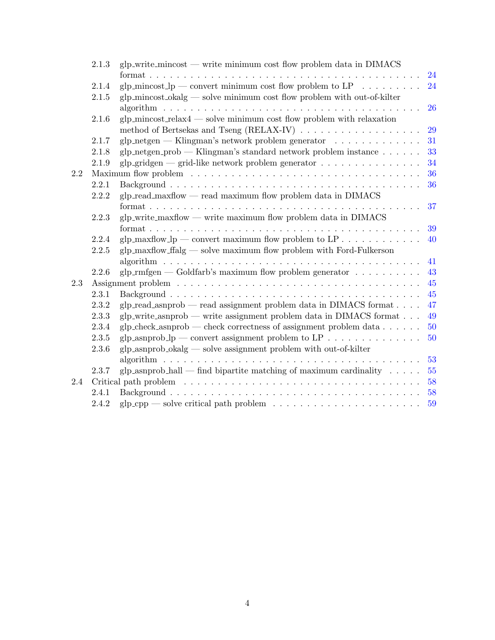|         | 2.1.3 | $g$ lp_write_mincost — write minimum cost flow problem data in DIMACS                      |    |
|---------|-------|--------------------------------------------------------------------------------------------|----|
|         |       |                                                                                            | 24 |
|         | 2.1.4 | glp_mincost_lp — convert minimum cost flow problem to LP $\ldots \ldots \ldots$            | 24 |
|         | 2.1.5 | $g$ lp_mincost_okalg — solve minimum cost flow problem with out-of-kilter                  |    |
|         |       |                                                                                            | 26 |
|         | 2.1.6 | glp_mincost_relax4 $-$ solve minimum cost flow problem with relaxation                     |    |
|         |       |                                                                                            | 29 |
|         | 2.1.7 | glp_netgen — Klingman's network problem generator $\dots \dots \dots \dots$                | 31 |
|         | 2.1.8 | glp_netgen_prob — Klingman's standard network problem instance $\ldots \ldots$             | 33 |
|         | 2.1.9 | glp_gridgen — grid-like network problem generator $\ldots \ldots \ldots \ldots \ldots$     | 34 |
| $2.2\,$ |       |                                                                                            | 36 |
|         | 2.2.1 |                                                                                            | 36 |
|         | 2.2.2 | $glp\_read\_maxflow$ — read maximum flow problem data in DIMACS                            |    |
|         |       |                                                                                            | 37 |
|         | 2.2.3 | $g$ lp_write_maxflow — write maximum flow problem data in DIMACS                           |    |
|         |       |                                                                                            | 39 |
|         | 2.2.4 | glp_maxflow_lp — convert maximum flow problem to $LP \ldots \ldots \ldots$                 | 40 |
|         | 2.2.5 | $g$ lp_maxflow_ffalg — solve maximum flow problem with Ford-Fulkerson                      |    |
|         |       |                                                                                            | 41 |
|         | 2.2.6 | glp_rmfgen — Goldfarb's maximum flow problem generator $\dots \dots \dots$                 | 43 |
| 2.3     |       |                                                                                            | 45 |
|         | 2.3.1 |                                                                                            | 45 |
|         | 2.3.2 | glp_read_asnprob — read assignment problem data in DIMACS format                           | 47 |
|         | 2.3.3 | $g$ lp_write_asnprob — write assignment problem data in DIMACS format                      | 49 |
|         | 2.3.4 | $glp\_check\_asnprob$ — check correctness of assignment problem data $\ldots \ldots$       | 50 |
|         | 2.3.5 | glp_asnprob_lp — convert assignment problem to LP                                          | 50 |
|         | 2.3.6 | $g$ lp_asnprob_okalg — solve assignment problem with out-of-kilter                         |    |
|         |       |                                                                                            | 53 |
|         | 2.3.7 | glp_asnprob_hall — find bipartite matching of maximum cardinality $\dots$ .                | 55 |
| 2.4     |       |                                                                                            | 58 |
|         | 2.4.1 |                                                                                            | 58 |
|         | 2.4.2 | $glp_cpp$ — solve critical path problem $\ldots \ldots \ldots \ldots \ldots \ldots \ldots$ | 59 |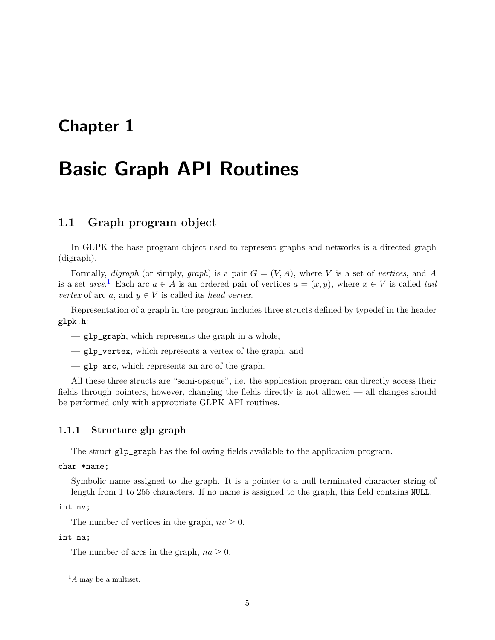# <span id="page-4-0"></span>**Chapter 1**

# **Basic Graph API Routines**

# <span id="page-4-1"></span>**1.1 Graph program object**

In GLPK the base program object used to represent graphs and networks is a directed graph (digraph).

Formally, *digraph* (or simply, *graph*) is a pair  $G = (V, A)$ , where V is a set of *vertices*, and A is a set  $arcs$ <sup>[1](#page-4-3)</sup>. Each arc  $a \in A$  is an ordered pair of vertices  $a = (x, y)$ , where  $x \in V$  is called *tail vertex* of arc *a*, and  $y \in V$  is called its *head vertex*.

Representation of a graph in the program includes three structs defined by typedef in the header glpk.h:

- glp\_graph, which represents the graph in a whole,
- glp\_vertex, which represents a vertex of the graph, and
- glp\_arc, which represents an arc of the graph.

All these three structs are "semi-opaque", i.e. the application program can directly access their fields through pointers, however, changing the fields directly is not allowed — all changes should be performed only with appropriate GLPK API routines.

## <span id="page-4-2"></span>**1.1.1 Structure glp graph**

The struct glp\_graph has the following fields available to the application program.

char \*name;

Symbolic name assigned to the graph. It is a pointer to a null terminated character string of length from 1 to 255 characters. If no name is assigned to the graph, this field contains NULL.

int nv;

The number of vertices in the graph,  $nv \geq 0$ .

int na;

The number of arcs in the graph,  $na \geq 0$ .

<span id="page-4-3"></span><sup>1</sup>*A* may be a multiset.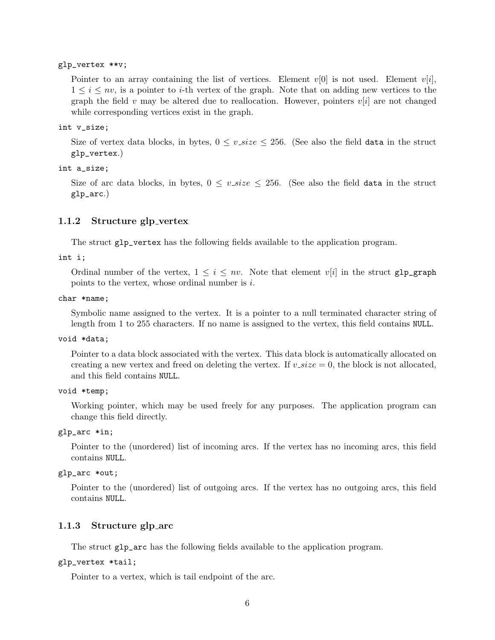#### glp\_vertex \*\*v;

Pointer to an array containing the list of vertices. Element  $v[0]$  is not used. Element  $v[i]$ ,  $1 \leq i \leq nv$ , is a pointer to *i*-th vertex of the graph. Note that on adding new vertices to the graph the field  $v$  may be altered due to reallocation. However, pointers  $v[i]$  are not changed while corresponding vertices exist in the graph.

#### int v\_size;

Size of vertex data blocks, in bytes,  $0 \le v\_size \le 256$ . (See also the field data in the struct glp\_vertex.)

#### int a\_size;

Size of arc data blocks, in bytes,  $0 \leq v\_size \leq 256$ . (See also the field data in the struct glp\_arc.)

## <span id="page-5-0"></span>**1.1.2 Structure glp vertex**

The struct glp\_vertex has the following fields available to the application program.

int i;

Ordinal number of the vertex,  $1 \leq i \leq nv$ . Note that element  $v[i]$  in the struct  $g1p\_graph$ points to the vertex, whose ordinal number is *i*.

#### char \*name;

Symbolic name assigned to the vertex. It is a pointer to a null terminated character string of length from 1 to 255 characters. If no name is assigned to the vertex, this field contains NULL.

#### void \*data;

Pointer to a data block associated with the vertex. This data block is automatically allocated on creating a new vertex and freed on deleting the vertex. If  $v\_size = 0$ , the block is not allocated, and this field contains NULL.

#### void \*temp;

Working pointer, which may be used freely for any purposes. The application program can change this field directly.

#### glp\_arc \*in;

Pointer to the (unordered) list of incoming arcs. If the vertex has no incoming arcs, this field contains NULL.

#### glp\_arc \*out;

Pointer to the (unordered) list of outgoing arcs. If the vertex has no outgoing arcs, this field contains NULL.

### <span id="page-5-1"></span>**1.1.3 Structure glp arc**

The struct glp\_arc has the following fields available to the application program.

#### glp\_vertex \*tail;

Pointer to a vertex, which is tail endpoint of the arc.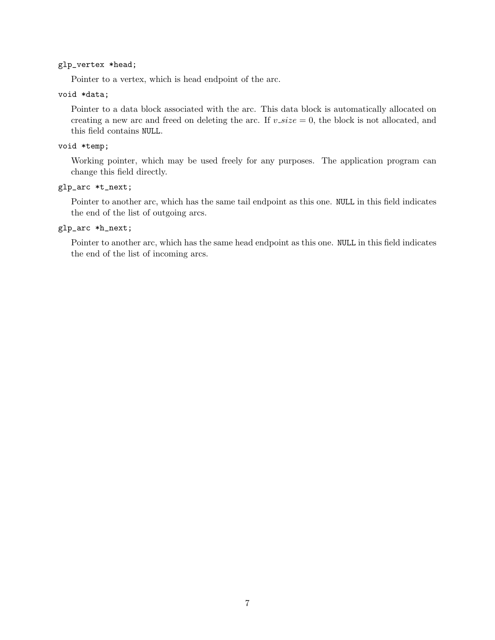## glp\_vertex \*head;

Pointer to a vertex, which is head endpoint of the arc.

## void \*data;

Pointer to a data block associated with the arc. This data block is automatically allocated on creating a new arc and freed on deleting the arc. If  $v\_size = 0$ , the block is not allocated, and this field contains NULL.

## void \*temp;

Working pointer, which may be used freely for any purposes. The application program can change this field directly.

## glp\_arc \*t\_next;

Pointer to another arc, which has the same tail endpoint as this one. NULL in this field indicates the end of the list of outgoing arcs.

#### glp\_arc \*h\_next;

Pointer to another arc, which has the same head endpoint as this one. NULL in this field indicates the end of the list of incoming arcs.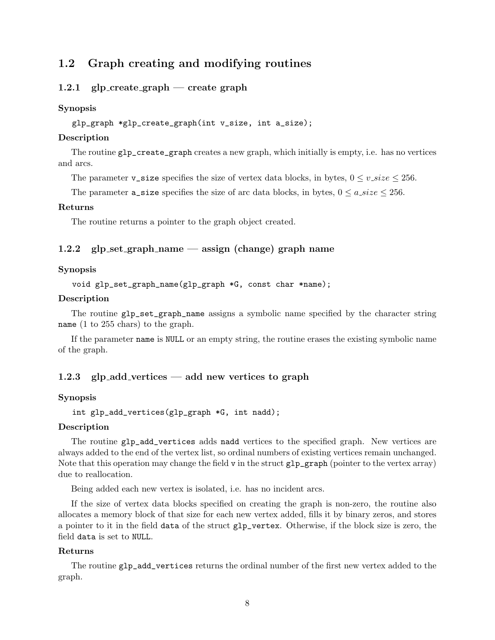# <span id="page-7-0"></span>**1.2 Graph creating and modifying routines**

## <span id="page-7-1"></span>**1.2.1 glp create graph — create graph**

## **Synopsis**

```
glp_graph *glp_create_graph(int v_size, int a_size);
```
## **Description**

The routine glp\_create\_graph creates a new graph, which initially is empty, i.e. has no vertices and arcs.

The parameter **v\_size** specifies the size of vertex data blocks, in bytes,  $0 \le v\_size \le 256$ .

The parameter  $a$  size specifies the size of arc data blocks, in bytes,  $0 \le a$  *size*  $\le 256$ .

#### **Returns**

The routine returns a pointer to the graph object created.

## <span id="page-7-2"></span>**1.2.2 glp set graph name — assign (change) graph name**

#### **Synopsis**

void glp\_set\_graph\_name(glp\_graph \*G, const char \*name);

## **Description**

The routine glp\_set\_graph\_name assigns a symbolic name specified by the character string name (1 to 255 chars) to the graph.

If the parameter name is NULL or an empty string, the routine erases the existing symbolic name of the graph.

## <span id="page-7-3"></span>**1.2.3 glp add vertices — add new vertices to graph**

## **Synopsis**

```
int glp_add_vertices(glp_graph *G, int nadd);
```
## **Description**

The routine glp\_add\_vertices adds nadd vertices to the specified graph. New vertices are always added to the end of the vertex list, so ordinal numbers of existing vertices remain unchanged. Note that this operation may change the field  $v$  in the struct  $g1p_{\text{graph}}$  (pointer to the vertex array) due to reallocation.

Being added each new vertex is isolated, i.e. has no incident arcs.

If the size of vertex data blocks specified on creating the graph is non-zero, the routine also allocates a memory block of that size for each new vertex added, fills it by binary zeros, and stores a pointer to it in the field data of the struct glp\_vertex. Otherwise, if the block size is zero, the field data is set to NULL.

## **Returns**

The routine glp\_add\_vertices returns the ordinal number of the first new vertex added to the graph.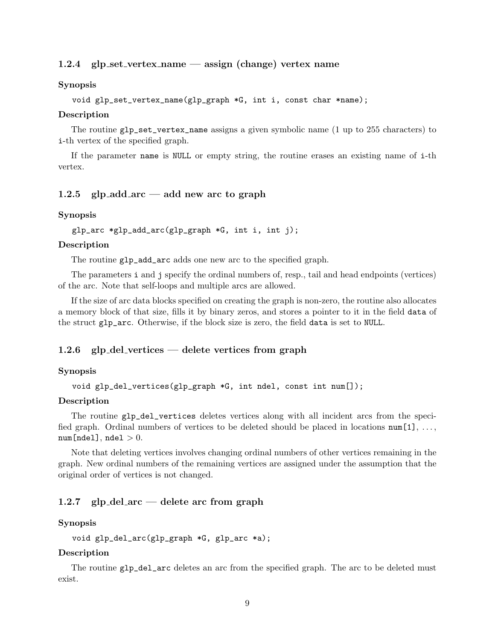## <span id="page-8-0"></span>**1.2.4 glp set vertex name — assign (change) vertex name**

#### **Synopsis**

```
void glp_set_vertex_name(glp_graph *G, int i, const char *name);
```
#### **Description**

The routine glp\_set\_vertex\_name assigns a given symbolic name (1 up to 255 characters) to i-th vertex of the specified graph.

If the parameter name is NULL or empty string, the routine erases an existing name of i-th vertex.

#### <span id="page-8-1"></span>**1.2.5 glp add arc — add new arc to graph**

#### **Synopsis**

```
glp_arc *glp_add_arc(glp_graph *G, int i, int j);
```
#### **Description**

The routine glp\_add\_arc adds one new arc to the specified graph.

The parameters i and j specify the ordinal numbers of, resp., tail and head endpoints (vertices) of the arc. Note that self-loops and multiple arcs are allowed.

If the size of arc data blocks specified on creating the graph is non-zero, the routine also allocates a memory block of that size, fills it by binary zeros, and stores a pointer to it in the field data of the struct glp\_arc. Otherwise, if the block size is zero, the field data is set to NULL.

#### <span id="page-8-2"></span>**1.2.6 glp del vertices — delete vertices from graph**

#### **Synopsis**

void glp\_del\_vertices(glp\_graph \*G, int ndel, const int num[]);

#### **Description**

The routine glp\_del\_vertices deletes vertices along with all incident arcs from the specified graph. Ordinal numbers of vertices to be deleted should be placed in locations  $num[1], \ldots$ , num[ndel], ndel *>* 0.

Note that deleting vertices involves changing ordinal numbers of other vertices remaining in the graph. New ordinal numbers of the remaining vertices are assigned under the assumption that the original order of vertices is not changed.

## <span id="page-8-3"></span>**1.2.7 glp del arc — delete arc from graph**

#### **Synopsis**

void glp\_del\_arc(glp\_graph \*G, glp\_arc \*a);

#### **Description**

The routine glp\_del\_arc deletes an arc from the specified graph. The arc to be deleted must exist.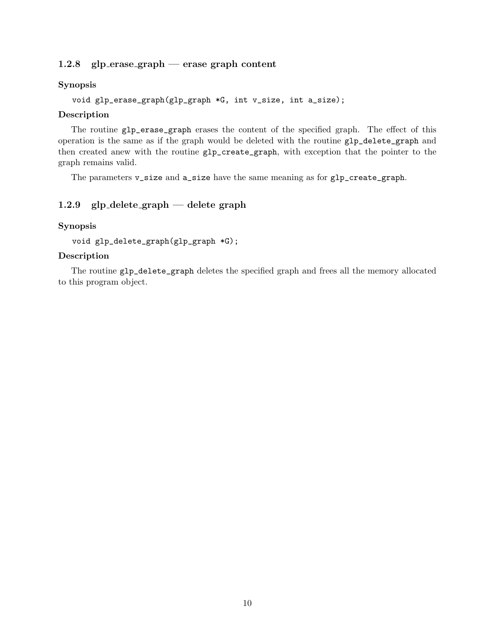## <span id="page-9-0"></span>**1.2.8 glp erase graph — erase graph content**

## **Synopsis**

```
void glp_erase_graph(glp_graph *G, int v_size, int a_size);
```
### **Description**

The routine glp\_erase\_graph erases the content of the specified graph. The effect of this operation is the same as if the graph would be deleted with the routine glp\_delete\_graph and then created anew with the routine glp\_create\_graph, with exception that the pointer to the graph remains valid.

The parameters v\_size and a\_size have the same meaning as for glp\_create\_graph.

## <span id="page-9-1"></span>**1.2.9 glp delete graph — delete graph**

## **Synopsis**

void glp\_delete\_graph(glp\_graph \*G);

## **Description**

The routine glp\_delete\_graph deletes the specified graph and frees all the memory allocated to this program object.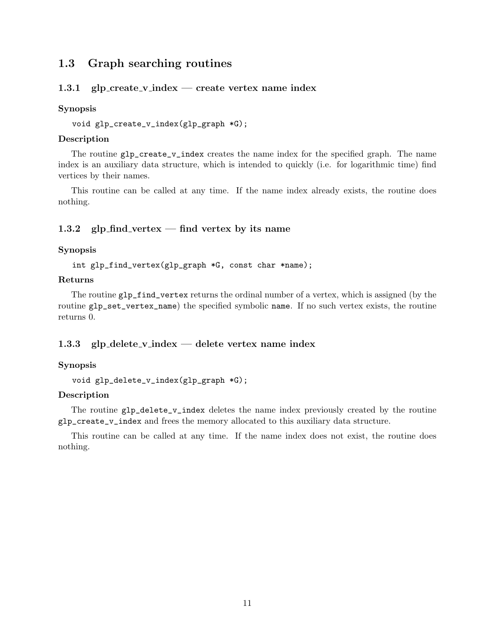# <span id="page-10-0"></span>**1.3 Graph searching routines**

## <span id="page-10-1"></span>**1.3.1 glp create v index — create vertex name index**

#### **Synopsis**

void glp\_create\_v\_index(glp\_graph \*G);

## **Description**

The routine  $g1p\_create\_v\_index$  creates the name index for the specified graph. The name index is an auxiliary data structure, which is intended to quickly (i.e. for logarithmic time) find vertices by their names.

This routine can be called at any time. If the name index already exists, the routine does nothing.

## <span id="page-10-2"></span>**1.3.2 glp find vertex — find vertex by its name**

## **Synopsis**

int glp\_find\_vertex(glp\_graph \*G, const char \*name);

## **Returns**

The routine glp\_find\_vertex returns the ordinal number of a vertex, which is assigned (by the routine glp\_set\_vertex\_name) the specified symbolic name. If no such vertex exists, the routine returns 0.

## <span id="page-10-3"></span>**1.3.3 glp delete v index — delete vertex name index**

### **Synopsis**

```
void glp_delete_v_index(glp_graph *G);
```
## **Description**

The routine glp\_delete\_v\_index deletes the name index previously created by the routine glp\_create\_v\_index and frees the memory allocated to this auxiliary data structure.

This routine can be called at any time. If the name index does not exist, the routine does nothing.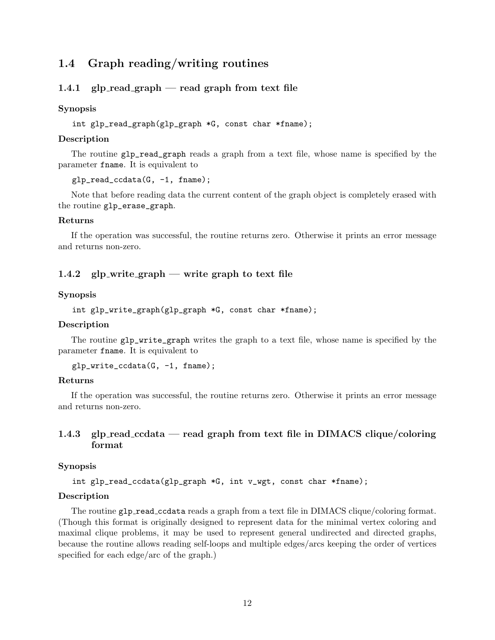# <span id="page-11-0"></span>**1.4 Graph reading/writing routines**

## <span id="page-11-1"></span>**1.4.1 glp read graph — read graph from text file**

#### **Synopsis**

int glp\_read\_graph(glp\_graph \*G, const char \*fname);

### **Description**

The routine glp\_read\_graph reads a graph from a text file, whose name is specified by the parameter fname. It is equivalent to

glp\_read\_ccdata(G, -1, fname);

Note that before reading data the current content of the graph object is completely erased with the routine glp\_erase\_graph.

#### **Returns**

If the operation was successful, the routine returns zero. Otherwise it prints an error message and returns non-zero.

## <span id="page-11-2"></span>**1.4.2 glp write graph — write graph to text file**

### **Synopsis**

int glp\_write\_graph(glp\_graph \*G, const char \*fname);

### **Description**

The routine glp\_write\_graph writes the graph to a text file, whose name is specified by the parameter fname. It is equivalent to

```
glp_write_ccdata(G, -1, fname);
```
#### **Returns**

If the operation was successful, the routine returns zero. Otherwise it prints an error message and returns non-zero.

## <span id="page-11-3"></span>**1.4.3 glp read ccdata — read graph from text file in DIMACS clique/coloring format**

### **Synopsis**

int glp\_read\_ccdata(glp\_graph \*G, int v\_wgt, const char \*fname);

#### **Description**

The routine glp\_read\_ccdata reads a graph from a text file in DIMACS clique/coloring format. (Though this format is originally designed to represent data for the minimal vertex coloring and maximal clique problems, it may be used to represent general undirected and directed graphs, because the routine allows reading self-loops and multiple edges/arcs keeping the order of vertices specified for each edge/arc of the graph.)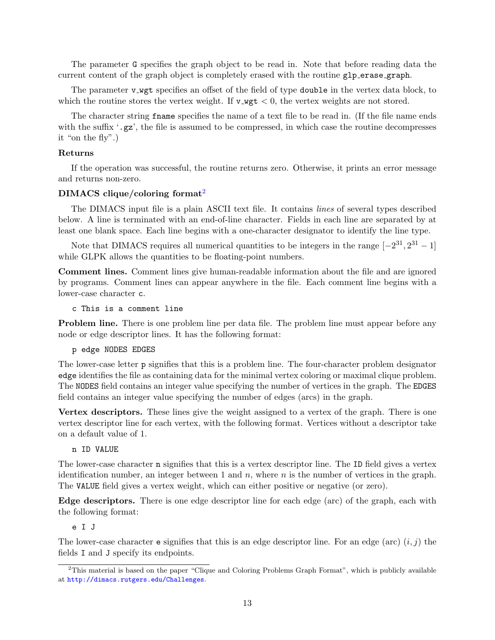The parameter G specifies the graph object to be read in. Note that before reading data the current content of the graph object is completely erased with the routine glp erase graph.

The parameter v wgt specifies an offset of the field of type double in the vertex data block, to which the routine stores the vertex weight. If  $v$ **-wgt**  $\lt$  0, the vertex weights are not stored.

The character string fname specifies the name of a text file to be read in. (If the file name ends with the suffix  $\cdot$ ,  $gz'$ , the file is assumed to be compressed, in which case the routine decompresses it "on the fly".)

#### **Returns**

If the operation was successful, the routine returns zero. Otherwise, it prints an error message and returns non-zero.

#### **DIMACS clique/coloring format**[2](#page-12-0)

The DIMACS input file is a plain ASCII text file. It contains *lines* of several types described below. A line is terminated with an end-of-line character. Fields in each line are separated by at least one blank space. Each line begins with a one-character designator to identify the line type.

Note that DIMACS requires all numerical quantities to be integers in the range  $[-2^{31}, 2^{31} - 1]$ while GLPK allows the quantities to be floating-point numbers.

**Comment lines.** Comment lines give human-readable information about the file and are ignored by programs. Comment lines can appear anywhere in the file. Each comment line begins with a lower-case character c.

c This is a comment line

**Problem line.** There is one problem line per data file. The problem line must appear before any node or edge descriptor lines. It has the following format:

#### p edge NODES EDGES

The lower-case letter p signifies that this is a problem line. The four-character problem designator edge identifies the file as containing data for the minimal vertex coloring or maximal clique problem. The NODES field contains an integer value specifying the number of vertices in the graph. The EDGES field contains an integer value specifying the number of edges (arcs) in the graph.

**Vertex descriptors.** These lines give the weight assigned to a vertex of the graph. There is one vertex descriptor line for each vertex, with the following format. Vertices without a descriptor take on a default value of 1.

#### n ID VALUE

The lower-case character n signifies that this is a vertex descriptor line. The ID field gives a vertex identification number, an integer between 1 and *n*, where *n* is the number of vertices in the graph. The VALUE field gives a vertex weight, which can either positive or negative (or zero).

**Edge descriptors.** There is one edge descriptor line for each edge (arc) of the graph, each with the following format:

e I J

The lower-case character **e** signifies that this is an edge descriptor line. For an edge (arc)  $(i, j)$  the fields I and J specify its endpoints.

<span id="page-12-0"></span><sup>2</sup>This material is based on the paper "Clique and Coloring Problems Graph Format", which is publicly available at <http://dimacs.rutgers.edu/Challenges>.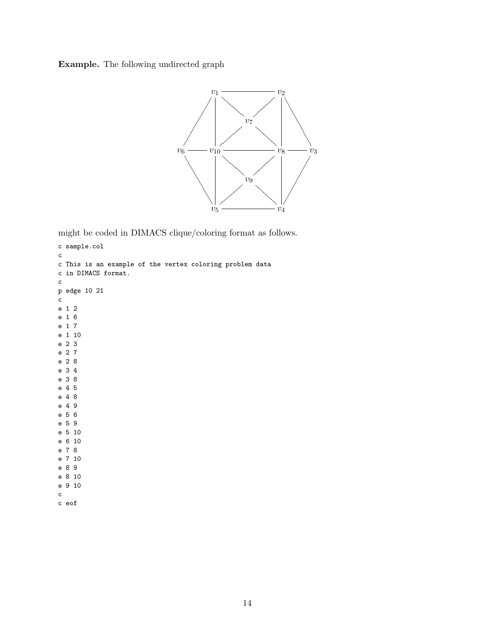**Example.** The following undirected graph



might be coded in DIMACS clique/coloring format as follows.

```
c sample.col
c
c This is an example of the vertex coloring problem data
c in DIMACS format.
c
p edge 10 21
c
e 1 2
e 1 6
e 1 7
e 1 10
e 2 3
e 2 7
e 2 8
e 3 4
e 3 8
e 4 5
e 4 8
e 4 9
e 5 6
e 5 9
e 5 10
e 6 10
e 7 8
e 7 10
e 8 9
e 8 10
e 9 10
c
c eof
```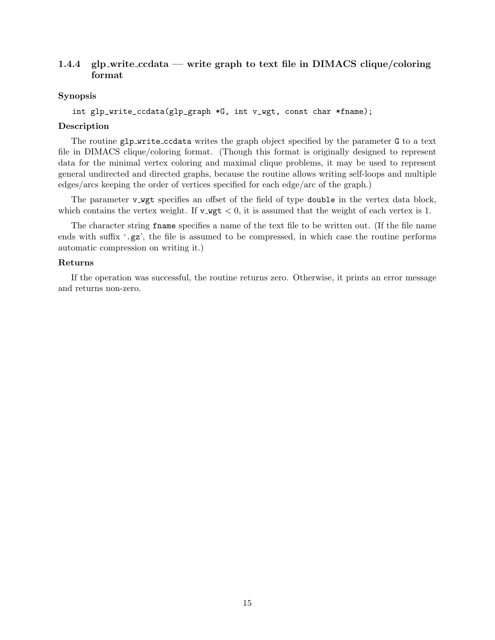## <span id="page-14-0"></span>**1.4.4 glp write ccdata — write graph to text file in DIMACS clique/coloring format**

## **Synopsis**

```
int glp_write_ccdata(glp_graph *G, int v_wgt, const char *fname);
```
#### **Description**

The routine glp\_write\_ccdata writes the graph object specified by the parameter G to a text file in DIMACS clique/coloring format. (Though this format is originally designed to represent data for the minimal vertex coloring and maximal clique problems, it may be used to represent general undirected and directed graphs, because the routine allows writing self-loops and multiple edges/arcs keeping the order of vertices specified for each edge/arc of the graph.)

The parameter v wgt specifies an offset of the field of type double in the vertex data block, which contains the vertex weight. If  $v$ <sub>-Wg</sub>t  $<$  0, it is assumed that the weight of each vertex is 1.

The character string fname specifies a name of the text file to be written out. (If the file name ends with suffix  $\cdot$ ,  $gz$ , the file is assumed to be compressed, in which case the routine performs automatic compression on writing it.)

#### **Returns**

If the operation was successful, the routine returns zero. Otherwise, it prints an error message and returns non-zero.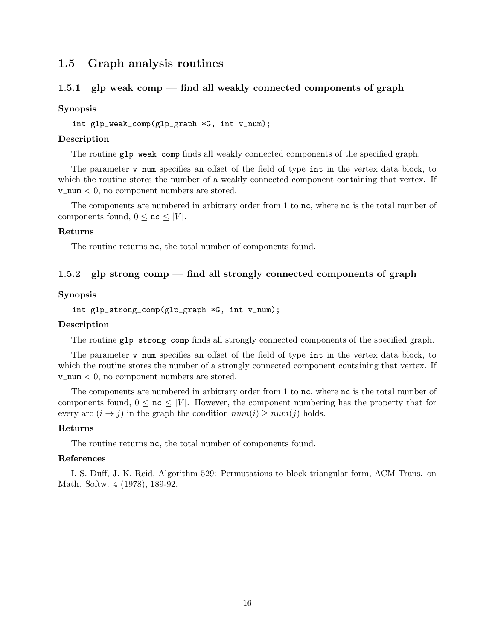## <span id="page-15-0"></span>**1.5 Graph analysis routines**

## <span id="page-15-1"></span>**1.5.1 glp weak comp — find all weakly connected components of graph**

#### **Synopsis**

int glp\_weak\_comp(glp\_graph \*G, int v\_num);

#### **Description**

The routine glp\_weak\_comp finds all weakly connected components of the specified graph.

The parameter **v\_num** specifies an offset of the field of type int in the vertex data block, to which the routine stores the number of a weakly connected component containing that vertex. If v\_num *<* 0, no component numbers are stored.

The components are numbered in arbitrary order from 1 to nc, where nc is the total number of components found,  $0 \leq nc \leq |V|$ .

#### **Returns**

The routine returns **nc**, the total number of components found.

## <span id="page-15-2"></span>**1.5.2 glp strong comp — find all strongly connected components of graph**

### **Synopsis**

```
int glp_strong_comp(glp_graph *G, int v_num);
```
### **Description**

The routine glp\_strong\_comp finds all strongly connected components of the specified graph.

The parameter **v\_num** specifies an offset of the field of type int in the vertex data block, to which the routine stores the number of a strongly connected component containing that vertex. If v\_num *<* 0, no component numbers are stored.

The components are numbered in arbitrary order from 1 to nc, where nc is the total number of components found,  $0 \leq n \leq |V|$ . However, the component numbering has the property that for every arc  $(i \rightarrow j)$  in the graph the condition  $num(i) \geq num(j)$  holds.

#### **Returns**

The routine returns nc, the total number of components found.

#### **References**

I. S. Duff, J. K. Reid, Algorithm 529: Permutations to block triangular form, ACM Trans. on Math. Softw. 4 (1978), 189-92.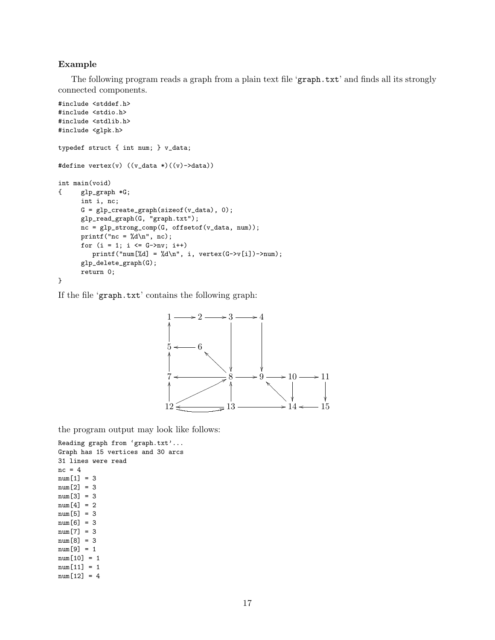## **Example**

The following program reads a graph from a plain text file 'graph.txt' and finds all its strongly connected components.

```
#include <stddef.h>
#include <stdio.h>
#include <stdlib.h>
#include <glpk.h>
typedef struct { int num; } v_data;
#define vertex(v) ((v_data*)(v)-data))int main(void)
{ glp_graph *G;
      int i, nc;
      G = g1p\_create\_graph(sizeof(v\_data), 0);glp_read_graph(G, "graph.txt");
      nc = glp_strong_comp(G, offsetof(v_data, num));
      printf("nc = \lambda d \nightharpoonup", nc);
      for (i = 1; i \leq G->nv; i++)printf("num[%d] = %d\n", i, vertex(G->v[i])->num);
      glp_delete_graph(G);
      return 0;
}
```
If the file 'graph.txt' contains the following graph:



the program output may look like follows:

```
Reading graph from 'graph.txt'...
Graph has 15 vertices and 30 arcs
31 lines were read
nc = 4num[1] = 3
num[2] = 3
num[3] = 3
num[4] = 2num[5] = 3num[6] = 3num[7] = 3num[8] = 3
num[9] = 1
num[10] = 1
num[11] = 1
num[12] = 4
```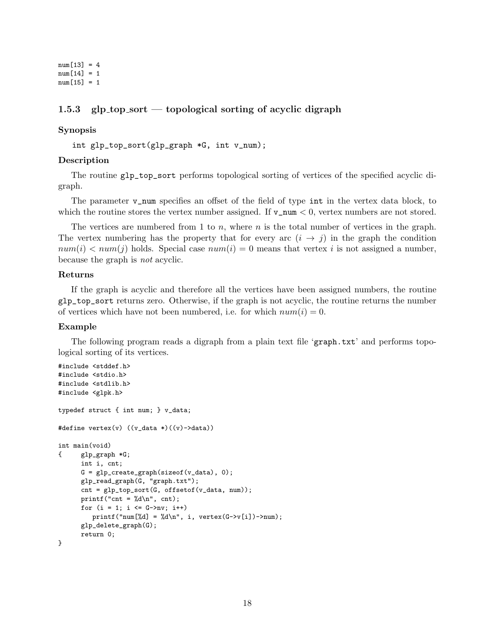$num[13] = 4$ num[14] = 1  $num[15] = 1$ 

## <span id="page-17-0"></span>**1.5.3 glp top sort — topological sorting of acyclic digraph**

## **Synopsis**

int glp\_top\_sort(glp\_graph \*G, int v\_num);

## **Description**

The routine glp\_top\_sort performs topological sorting of vertices of the specified acyclic digraph.

The parameter **v\_num** specifies an offset of the field of type int in the vertex data block, to which the routine stores the vertex number assigned. If  $v_{\text{num}} < 0$ , vertex numbers are not stored.

The vertices are numbered from 1 to *n*, where *n* is the total number of vertices in the graph. The vertex numbering has the property that for every arc  $(i \rightarrow j)$  in the graph the condition  $num(i) < num(j)$  holds. Special case  $num(i) = 0$  means that vertex *i* is not assigned a number, because the graph is *not* acyclic.

#### **Returns**

If the graph is acyclic and therefore all the vertices have been assigned numbers, the routine glp\_top\_sort returns zero. Otherwise, if the graph is not acyclic, the routine returns the number of vertices which have not been numbered, i.e. for which  $num(i) = 0$ .

#### **Example**

The following program reads a digraph from a plain text file 'graph.txt' and performs topological sorting of its vertices.

```
#include <stddef.h>
#include <stdio.h>
#include <stdlib.h>
#include <glpk.h>
typedef struct { int num; } v_data;
#define vertex(v) ((v_data *)((v) - >data))int main(void)
{ glp_graph *G;
      int i, cnt;
      G = g1p\_create\_graph(sizeof(v\_data), 0);glp_read_graph(G, "graph.txt");
      cnt = glp_top_sort(G, offsetof(v_data, num));
      printf("cnt = \lambda d \nvert", cnt);
      for (i = 1; i \leq G->nv; i++)print('num['\&d] = \&d\n', i, vertex(G->v[i])->num);glp_delete_graph(G);
      return 0;
}
```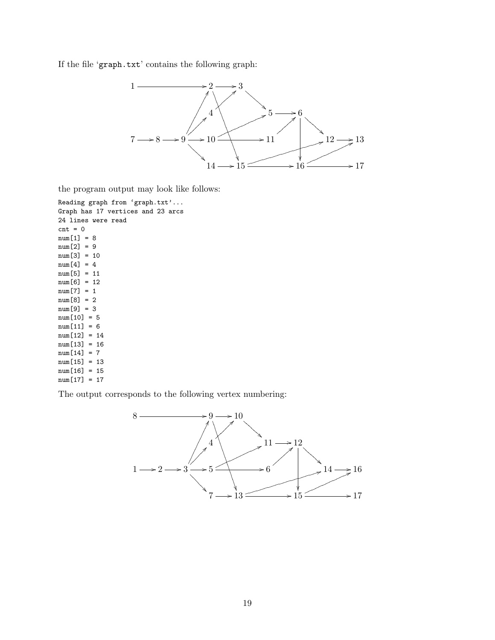If the file 'graph.txt' contains the following graph:



the program output may look like follows:

```
Reading graph from 'graph.txt'...
Graph has 17 vertices and 23 arcs
24 lines were read
cnt = 0num[1] = 8
num[2] = 9
num[3] = 10
num[4] = 4num[5] = 11
num[6] = 12
num[7] = 1
num[8] = 2
num[9] = 3
num[10] = 5
num[11] = 6num[12] = 14
num[13] = 16
num[14] = 7num[15] = 13
num[16] = 15
num[17] = 17
```
The output corresponds to the following vertex numbering:

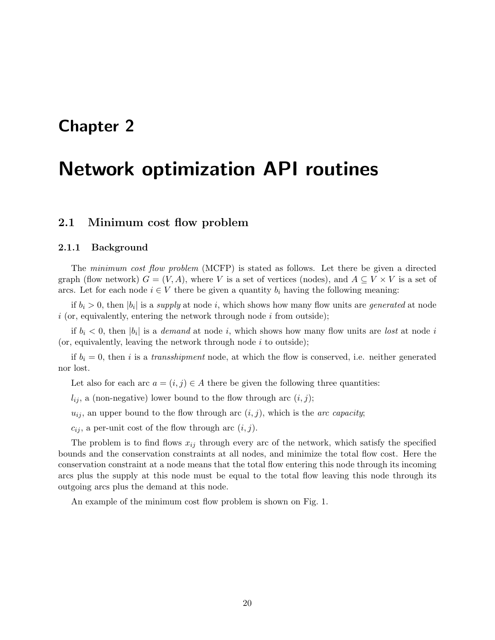# <span id="page-19-0"></span>**Chapter 2**

# **Network optimization API routines**

## <span id="page-19-1"></span>**2.1 Minimum cost flow problem**

#### <span id="page-19-2"></span>**2.1.1 Background**

The *minimum cost flow problem* (MCFP) is stated as follows. Let there be given a directed graph (flow network)  $G = (V, A)$ , where *V* is a set of vertices (nodes), and  $A \subseteq V \times V$  is a set of arcs. Let for each node  $i \in V$  there be given a quantity  $b_i$  having the following meaning:

if  $b_i > 0$ , then  $|b_i|$  is a *supply* at node *i*, which shows how many flow units are *generated* at node *i* (or, equivalently, entering the network through node *i* from outside);

if  $b_i < 0$ , then  $|b_i|$  is a *demand* at node *i*, which shows how many flow units are *lost* at node *i* (or, equivalently, leaving the network through node *i* to outside);

if  $b_i = 0$ , then *i* is a *transshipment* node, at which the flow is conserved, i.e. neither generated nor lost.

Let also for each arc  $a = (i, j) \in A$  there be given the following three quantities:

 $l_{ij}$ , a (non-negative) lower bound to the flow through arc  $(i, j)$ ;

 $u_{ij}$ , an upper bound to the flow through arc  $(i, j)$ , which is the *arc capacity*;

 $c_{ij}$ , a per-unit cost of the flow through arc  $(i, j)$ .

The problem is to find flows *xij* through every arc of the network, which satisfy the specified bounds and the conservation constraints at all nodes, and minimize the total flow cost. Here the conservation constraint at a node means that the total flow entering this node through its incoming arcs plus the supply at this node must be equal to the total flow leaving this node through its outgoing arcs plus the demand at this node.

An example of the minimum cost flow problem is shown on Fig. 1.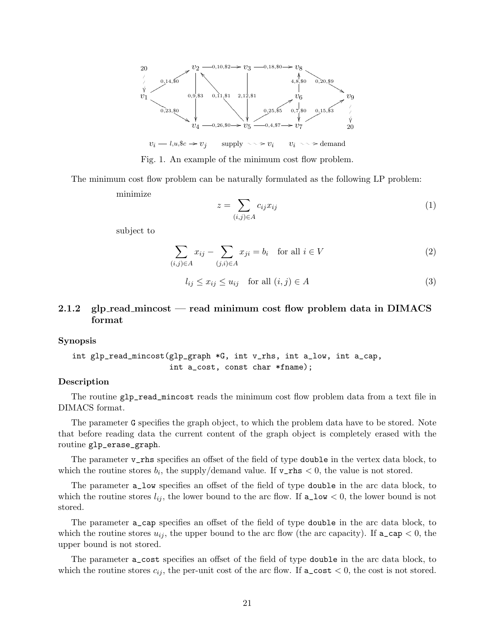

Fig. 1. An example of the minimum cost flow problem.

The minimum cost flow problem can be naturally formulated as the following LP problem:

minimize

$$
z = \sum_{(i,j)\in A} c_{ij} x_{ij} \tag{1}
$$

subject to

$$
\sum_{(i,j)\in A} x_{ij} - \sum_{(j,i)\in A} x_{ji} = b_i \quad \text{for all } i \in V
$$
 (2)

$$
l_{ij} \le x_{ij} \le u_{ij} \quad \text{for all } (i,j) \in A
$$
\n
$$
(3)
$$

## <span id="page-20-0"></span>**2.1.2 glp read mincost — read minimum cost flow problem data in DIMACS format**

#### **Synopsis**

int glp\_read\_mincost(glp\_graph \*G, int v\_rhs, int a\_low, int a\_cap, int a\_cost, const char \*fname);

## **Description**

The routine glp\_read\_mincost reads the minimum cost flow problem data from a text file in DIMACS format.

The parameter G specifies the graph object, to which the problem data have to be stored. Note that before reading data the current content of the graph object is completely erased with the routine glp\_erase\_graph.

The parameter v\_rhs specifies an offset of the field of type **double** in the vertex data block, to which the routine stores  $b_i$ , the supply/demand value. If  $v_{\text{r}}$  the value is not stored.

The parameter a\_low specifies an offset of the field of type double in the arc data block, to which the routine stores  $l_{ij}$ , the lower bound to the arc flow. If  $a_l v < 0$ , the lower bound is not stored.

The parameter a\_cap specifies an offset of the field of type double in the arc data block, to which the routine stores  $u_{ij}$ , the upper bound to the arc flow (the arc capacity). If  $a\_{cap} < 0$ , the upper bound is not stored.

The parameter a\_cost specifies an offset of the field of type double in the arc data block, to which the routine stores  $c_{ij}$ , the per-unit cost of the arc flow. If  $a\_cost < 0$ , the cost is not stored.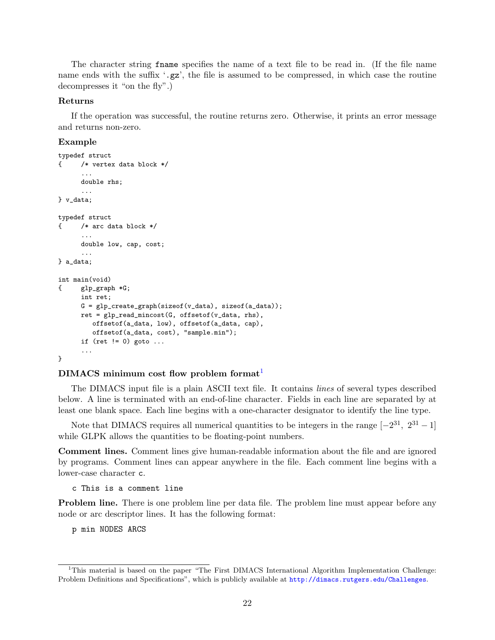The character string fname specifies the name of a text file to be read in. (If the file name name ends with the suffix '.gz', the file is assumed to be compressed, in which case the routine decompresses it "on the fly".)

#### **Returns**

If the operation was successful, the routine returns zero. Otherwise, it prints an error message and returns non-zero.

#### **Example**

```
typedef struct
{ /* vertex data block */
      ...
     double rhs;
      ...
} v_data;
typedef struct
{ /* arc data block */
      ...
     double low, cap, cost;
      ...
} a_data;
int main(void)
{ glp_graph *G;
     int ret;
     G = glp_create_graph(sizeof(v_data), sizeof(a_data));
     ret = glp\_read\_mincost(G, offsetof(v_data, rhs),offsetof(a_data, low), offsetof(a_data, cap),
         offsetof(a_data, cost), "sample.min");
     if (ret != 0) goto ...
      ...
}
```
#### **DIMACS minimum cost flow problem format**[1](#page-21-0)

The DIMACS input file is a plain ASCII text file. It contains *lines* of several types described below. A line is terminated with an end-of-line character. Fields in each line are separated by at least one blank space. Each line begins with a one-character designator to identify the line type.

Note that DIMACS requires all numerical quantities to be integers in the range  $[-2^{31}, 2^{31} - 1]$ while GLPK allows the quantities to be floating-point numbers.

**Comment lines.** Comment lines give human-readable information about the file and are ignored by programs. Comment lines can appear anywhere in the file. Each comment line begins with a lower-case character c.

c This is a comment line

**Problem line.** There is one problem line per data file. The problem line must appear before any node or arc descriptor lines. It has the following format:

p min NODES ARCS

<span id="page-21-0"></span><sup>&</sup>lt;sup>1</sup>This material is based on the paper "The First DIMACS International Algorithm Implementation Challenge: Problem Definitions and Specifications", which is publicly available at <http://dimacs.rutgers.edu/Challenges>.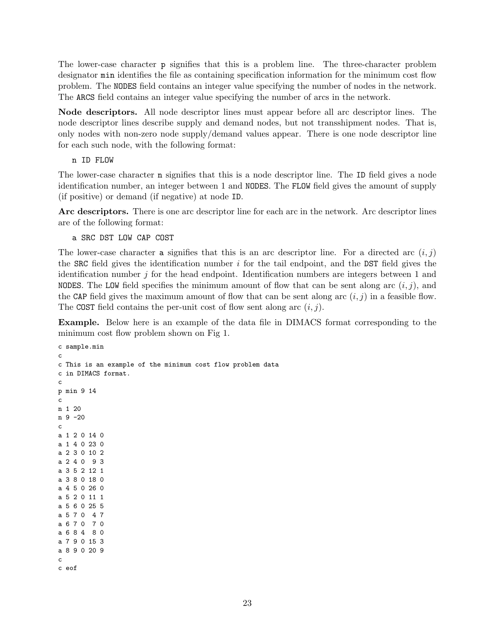The lower-case character p signifies that this is a problem line. The three-character problem designator min identifies the file as containing specification information for the minimum cost flow problem. The NODES field contains an integer value specifying the number of nodes in the network. The ARCS field contains an integer value specifying the number of arcs in the network.

**Node descriptors.** All node descriptor lines must appear before all arc descriptor lines. The node descriptor lines describe supply and demand nodes, but not transshipment nodes. That is, only nodes with non-zero node supply/demand values appear. There is one node descriptor line for each such node, with the following format:

n ID FLOW

The lower-case character n signifies that this is a node descriptor line. The ID field gives a node identification number, an integer between 1 and NODES. The FLOW field gives the amount of supply (if positive) or demand (if negative) at node ID.

**Arc descriptors.** There is one arc descriptor line for each arc in the network. Arc descriptor lines are of the following format:

a SRC DST LOW CAP COST

The lower-case character a signifies that this is an arc descriptor line. For a directed arc  $(i, j)$ the SRC field gives the identification number *i* for the tail endpoint, and the DST field gives the identification number *j* for the head endpoint. Identification numbers are integers between 1 and NODES. The LOW field specifies the minimum amount of flow that can be sent along arc  $(i, j)$ , and the CAP field gives the maximum amount of flow that can be sent along arc  $(i, j)$  in a feasible flow. The COST field contains the per-unit cost of flow sent along arc (*i, j*).

**Example.** Below here is an example of the data file in DIMACS format corresponding to the minimum cost flow problem shown on Fig 1.

```
c sample.min
c
c This is an example of the minimum cost flow problem data
c in DIMACS format.
c
p min 9 14
c
n 1 20
n 9 -20
c
a 1 2 0 14 0
a 1 4 0 23 0
a 2 3 0 10 2
a 2 4 0 9 3
a 3 5 2 12 1
a 3 8 0 18 0
a 4 5 0 26 0
a 5 2 0 11 1
a 5 6 0 25 5
a 5 7 0 4 7
a 6 7 0 7 0
a 6 8 4 8 0
a 7 9 0 15 3
a 8 9 0 20 9
c
c eof
```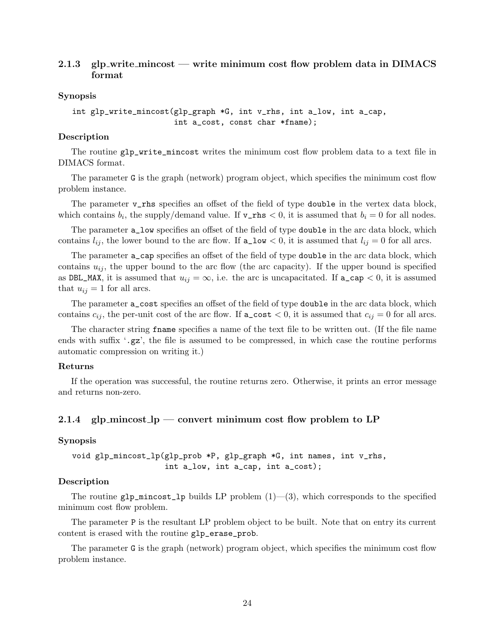## <span id="page-23-0"></span>**2.1.3 glp write mincost — write minimum cost flow problem data in DIMACS format**

#### **Synopsis**

```
int glp_write_mincost(glp_graph *G, int v_rhs, int a_low, int a_cap,
                      int a_cost, const char *fname);
```
## **Description**

The routine glp\_write\_mincost writes the minimum cost flow problem data to a text file in DIMACS format.

The parameter G is the graph (network) program object, which specifies the minimum cost flow problem instance.

The parameter **v\_rhs** specifies an offset of the field of type **double** in the vertex data block, which contains  $b_i$ , the supply/demand value. If  $v_{\text{rms}} < 0$ , it is assumed that  $b_i = 0$  for all nodes.

The parameter a\_low specifies an offset of the field of type double in the arc data block, which contains  $l_{ij}$ , the lower bound to the arc flow. If  $a_l w < 0$ , it is assumed that  $l_{ij} = 0$  for all arcs.

The parameter a\_cap specifies an offset of the field of type double in the arc data block, which contains  $u_{ij}$ , the upper bound to the arc flow (the arc capacity). If the upper bound is specified as DBL\_MAX, it is assumed that  $u_{ij} = \infty$ , i.e. the arc is uncapacitated. If  $a_{\text{cap}} < 0$ , it is assumed that  $u_{ij} = 1$  for all arcs.

The parameter a\_cost specifies an offset of the field of type double in the arc data block, which contains  $c_{ij}$ , the per-unit cost of the arc flow. If  $a\_{cost} < 0$ , it is assumed that  $c_{ij} = 0$  for all arcs.

The character string fname specifies a name of the text file to be written out. (If the file name ends with suffix  $\cdot$ ,  $gz$ , the file is assumed to be compressed, in which case the routine performs automatic compression on writing it.)

#### **Returns**

If the operation was successful, the routine returns zero. Otherwise, it prints an error message and returns non-zero.

## <span id="page-23-1"></span>**2.1.4 glp mincost lp — convert minimum cost flow problem to LP**

#### **Synopsis**

void glp\_mincost\_lp(glp\_prob \*P, glp\_graph \*G, int names, int v\_rhs, int a\_low, int a\_cap, int a\_cost);

#### **Description**

The routine  $g1p\_mincost\_1p$  builds LP problem  $(1)$ — $(3)$ , which corresponds to the specified minimum cost flow problem.

The parameter P is the resultant LP problem object to be built. Note that on entry its current content is erased with the routine glp\_erase\_prob.

The parameter G is the graph (network) program object, which specifies the minimum cost flow problem instance.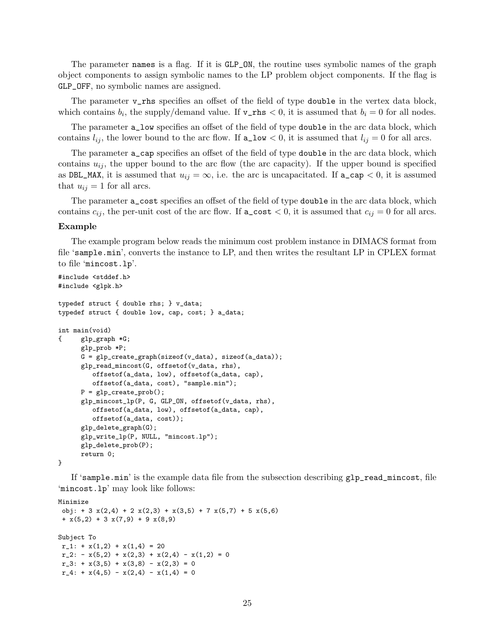The parameter names is a flag. If it is GLP\_ON, the routine uses symbolic names of the graph object components to assign symbolic names to the LP problem object components. If the flag is GLP\_OFF, no symbolic names are assigned.

The parameter **v\_rhs** specifies an offset of the field of type **double** in the vertex data block, which contains  $b_i$ , the supply/demand value. If  $v_{\text{rms}} < 0$ , it is assumed that  $b_i = 0$  for all nodes.

The parameter a\_low specifies an offset of the field of type double in the arc data block, which contains  $l_{ij}$ , the lower bound to the arc flow. If  $a_l w < 0$ , it is assumed that  $l_{ij} = 0$  for all arcs.

The parameter a\_cap specifies an offset of the field of type double in the arc data block, which contains  $u_{ij}$ , the upper bound to the arc flow (the arc capacity). If the upper bound is specified as DBL\_MAX, it is assumed that  $u_{ij} = \infty$ , i.e. the arc is uncapacitated. If  $a\text{-cap} < 0$ , it is assumed that  $u_{ij} = 1$  for all arcs.

The parameter a\_cost specifies an offset of the field of type double in the arc data block, which contains  $c_{ij}$ , the per-unit cost of the arc flow. If  $a\text{-cost} < 0$ , it is assumed that  $c_{ij} = 0$  for all arcs.

#### **Example**

The example program below reads the minimum cost problem instance in DIMACS format from file 'sample.min', converts the instance to LP, and then writes the resultant LP in CPLEX format to file 'mincost.lp'.

```
#include <stddef.h>
#include <glpk.h>
typedef struct { double rhs; } v_data;
typedef struct { double low, cap, cost; } a_data;
int main(void)
{ glp_graph *G;
     glp_prob *P;
      G = g1p\_create\_graph(sizeof(v_data), sizeof(a_data));glp_read_mincost(G, offsetof(v_data, rhs),
         offsetof(a_data, low), offsetof(a_data, cap),
         offsetof(a_data, cost), "sample.min");
      P = glp\_create\_prob();
      glp_mincost_lp(P, G, GLP_ON, offsetof(v_data, rhs),
         offsetof(a_data, low), offsetof(a_data, cap),
         offsetof(a_data, cost));
      glp_delete_graph(G);
      glp_write_lp(P, NULL, "mincost.lp");
      glp_delete_prob(P);
      return 0;
}
```
If 'sample.min' is the example data file from the subsection describing glp\_read\_mincost, file 'mincost.lp' may look like follows:

```
Minimize
obj: + 3 x(2,4) + 2 x(2,3) + x(3,5) + 7 x(5,7) + 5 x(5,6)+ x(5,2) + 3 x(7,9) + 9 x(8,9)Subject To
r_1: + x(1,2) + x(1,4) = 20r_2: - x(5,2) + x(2,3) + x(2,4) - x(1,2) = 0r_3: + x(3,5) + x(3,8) - x(2,3) = 0r_4: + x(4,5) - x(2,4) - x(1,4) = 0
```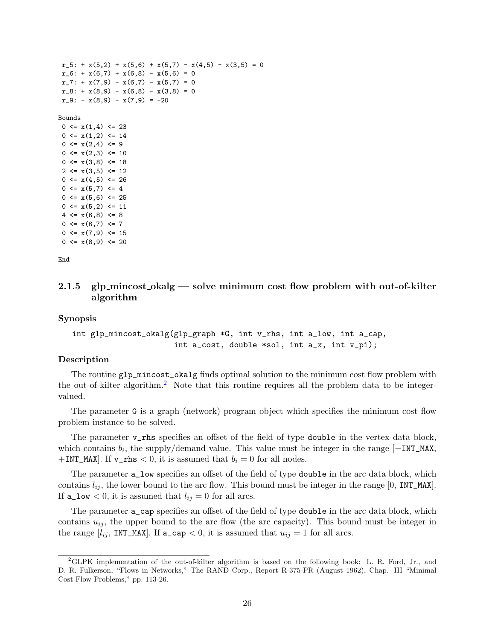```
r_5: + x(5,2) + x(5,6) + x(5,7) - x(4,5) - x(3,5) = 0r_{-6}: + x(6,7) + x(6,8) - x(5,6) = 0r_7: + x(7,9) - x(6,7) - x(5,7) = 0r_8: + x(8,9) - x(6,8) - x(3,8) = 0r_9: - x(8,9) - x(7,9) = -20Bounds
0 \leq x(1,4) \leq 230 \leq x(1,2) \leq 140 \leq x(2, 4) \leq 90 \leq x(2,3) \leq 100 \leq x(3,8) \leq 182 \leq x(3,5) \leq 120 \leq x(4,5) \leq 260 \leq x(5,7) \leq 40 \leq x(5,6) \leq 250 \leq x(5,2) \leq 114 \leq x(6,8) \leq 80 \leq x(6,7) \leq 70 \leq x(7, 9) \leq 150 \leq x(8, 9) \leq 20
```
End

## <span id="page-25-0"></span>**2.1.5 glp mincost okalg — solve minimum cost flow problem with out-of-kilter algorithm**

**Synopsis**

```
int glp_mincost_okalg(glp_graph *G, int v_rhs, int a_low, int a_cap,
                      int a_cost, double *sol, int a_x, int v_pi);
```
#### **Description**

The routine glp\_mincost\_okalg finds optimal solution to the minimum cost flow problem with the out-of-kilter algorithm.[2](#page-25-1) Note that this routine requires all the problem data to be integervalued.

The parameter G is a graph (network) program object which specifies the minimum cost flow problem instance to be solved.

The parameter **v\_rhs** specifies an offset of the field of type **double** in the vertex data block, which contains *b<sup>i</sup>* , the supply/demand value. This value must be integer in the range [*−*INT\_MAX,  $+INT\_MAX$ . If  $v\_rhs < 0$ , it is assumed that  $b_i = 0$  for all nodes.

The parameter a\_low specifies an offset of the field of type double in the arc data block, which contains  $l_{ij}$ , the lower bound to the arc flow. This bound must be integer in the range  $[0, INT\_MAX]$ . If  $a_l$  a  $\leq 0$ , it is assumed that  $l_{ij} = 0$  for all arcs.

The parameter a\_cap specifies an offset of the field of type double in the arc data block, which contains  $u_{ij}$ , the upper bound to the arc flow (the arc capacity). This bound must be integer in the range  $[i_{ij}, \text{INT\_MAX}]$ . If  $a\text{-cap} < 0$ , it is assumed that  $u_{ij} = 1$  for all arcs.

<span id="page-25-1"></span><sup>2</sup>GLPK implementation of the out-of-kilter algorithm is based on the following book: L. R. Ford, Jr., and D. R. Fulkerson, "Flows in Networks," The RAND Corp., Report R-375-PR (August 1962), Chap. III "Minimal Cost Flow Problems," pp. 113-26.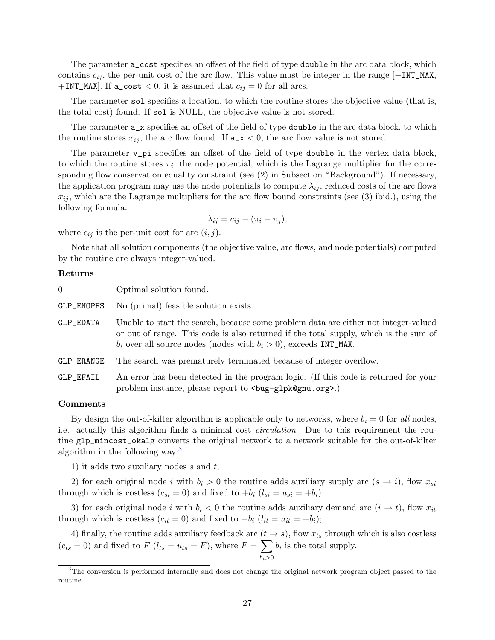The parameter a\_cost specifies an offset of the field of type double in the arc data block, which contains *cij* , the per-unit cost of the arc flow. This value must be integer in the range [*−*INT\_MAX,  $+INT\_MAX$ . If a\_cost  $< 0$ , it is assumed that  $c_{ij} = 0$  for all arcs.

The parameter sol specifies a location, to which the routine stores the objective value (that is, the total cost) found. If sol is NULL, the objective value is not stored.

The parameter  $a_x$  specifies an offset of the field of type **double** in the arc data block, to which the routine stores  $x_{ij}$ , the arc flow found. If  $a_x \times 0$ , the arc flow value is not stored.

The parameter  $v$ <sub>-</sub>pi specifies an offset of the field of type double in the vertex data block, to which the routine stores  $\pi_i$ , the node potential, which is the Lagrange multiplier for the corresponding flow conservation equality constraint (see (2) in Subsection "Background"). If necessary, the application program may use the node potentials to compute  $\lambda_{ij}$ , reduced costs of the arc flows  $x_{ij}$ , which are the Lagrange multipliers for the arc flow bound constraints (see (3) ibid.), using the following formula:

$$
\lambda_{ij} = c_{ij} - (\pi_i - \pi_j),
$$

where  $c_{ij}$  is the per-unit cost for arc  $(i, j)$ .

Note that all solution components (the objective value, arc flows, and node potentials) computed by the routine are always integer-valued.

#### **Returns**

| $\Omega$   | Optimal solution found.                                                                                                                                                                                                                              |
|------------|------------------------------------------------------------------------------------------------------------------------------------------------------------------------------------------------------------------------------------------------------|
| GLP_ENOPFS | No (primal) feasible solution exists.                                                                                                                                                                                                                |
| GLP_EDATA  | Unable to start the search, because some problem data are either not integer-valued<br>or out of range. This code is also returned if the total supply, which is the sum of<br>$b_i$ over all source nodes (nodes with $b_i > 0$ ), exceeds INT_MAX. |
| GLP_ERANGE | The search was prematurely terminated because of integer overflow.                                                                                                                                                                                   |
| GLP_EFAIL  | An error has been detected in the program logic. (If this code is returned for your<br>problem instance, please report to<br><br><br><br><br><br><br><br><br>org>>>>>>.)<br>                                                                         |

## **Comments**

By design the out-of-kilter algorithm is applicable only to networks, where  $b_i = 0$  for *all* nodes. i.e. actually this algorithm finds a minimal cost *circulation*. Due to this requirement the routine glp\_mincost\_okalg converts the original network to a network suitable for the out-of-kilter algorithm in the following way:<sup>[3](#page-26-0)</sup>

1) it adds two auxiliary nodes *s* and *t*;

2) for each original node *i* with  $b_i > 0$  the routine adds auxiliary supply arc  $(s \rightarrow i)$ , flow  $x_{si}$ through which is costless  $(c_{si} = 0)$  and fixed to  $+b_i$   $(l_{si} = u_{si} = +b_i);$ 

3) for each original node *i* with  $b_i < 0$  the routine adds auxiliary demand arc  $(i \rightarrow t)$ , flow  $x_{it}$ through which is costless  $(c_{it} = 0)$  and fixed to  $-b_i$   $(l_{it} = u_{it} = -b_i);$ 

4) finally, the routine adds auxiliary feedback arc  $(t \rightarrow s)$ , flow  $x_{ts}$  through which is also costless  $(c_{ts} = 0)$  and fixed to  $F (l_{ts} = u_{ts} = F)$ , where  $F = \sum$ *bi>*0  $b_i$  is the total supply.

<span id="page-26-0"></span><sup>&</sup>lt;sup>3</sup>The conversion is performed internally and does not change the original network program object passed to the routine.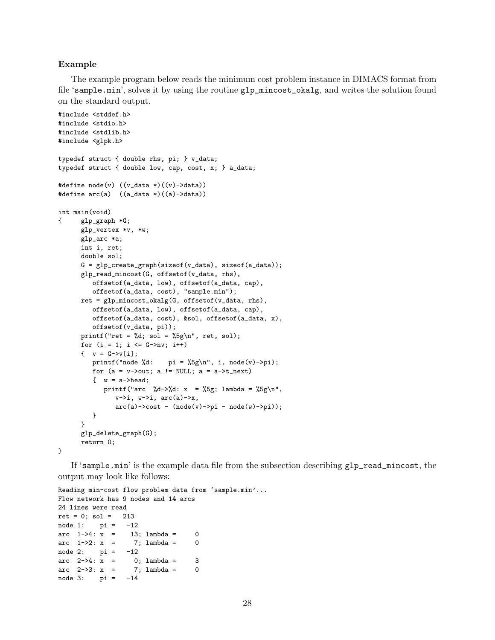### **Example**

The example program below reads the minimum cost problem instance in DIMACS format from file 'sample.min', solves it by using the routine glp\_mincost\_okalg, and writes the solution found on the standard output.

```
#include <stddef.h>
#include <stdio.h>
#include <stdlib.h>
#include <glpk.h>
typedef struct { double rhs, pi; } v_data;
typedef struct { double low, cap, cost, x; } a_data;
#define node(v) ((v_data *)((v)->data))
#define arc(a) ((a_data*)(a)->data)
int main(void)
{ glp_graph *G;
      glp_vertex *v, *w;
      glp_arc *a;
      int i, ret;
      double sol;
      G = glp_create_graph(sizeof(v_data), sizeof(a_data));
      glp_read_mincost(G, offsetof(v_data, rhs),
         offsetof(a_data, low), offsetof(a_data, cap),
         offsetof(a_data, cost), "sample.min");
      ret = glp_mincost_okalg(G, offsetof(v_data, rhs),offsetof(a_data, low), offsetof(a_data, cap),
         offsetof(a_data, cost), &sol, offsetof(a_data, x),
         offsetof(v_data, pi));
      printf("ret = \lambda d; sol = \lambda 5g\ n", ret, sol);
      for (i = 1; i \leq G->nv; i++)\{ v = G - \nu[i];printf("node %d: pi = %5g\n", i, node(v)->pi);
         for (a = v\rightarrow out; a != NULL; a = a\rightarrow t.next)\{ w = a - \lambda head;
            printf("arc %d->%d: x = %5g; lambda = %5g\n",
                v\rightarrow i, w\rightarrow i, arc(a)\rightarrow x,
                \arc(a)->cost - (node(v)->pi - node(w)->pi));
         }
      }
      glp_delete_graph(G);
      return 0;
}
```
If 'sample.min' is the example data file from the subsection describing glp\_read\_mincost, the output may look like follows:

```
Reading min-cost flow problem data from 'sample.min'...
Flow network has 9 nodes and 14 arcs
24 lines were read
ret = 0; sol = 213node 1: pi = -12\arctan 1- > 4: x = 13; lambda = 0
\text{arc } 1 \rightarrow 2: x = 7; \text{lambda} = 0node 2: pi = -12\arcc 2->4: x = 0; lambda = 3
\arcc 2->3: x = 7; \text{lambda} = 0node 3: pi = -14
```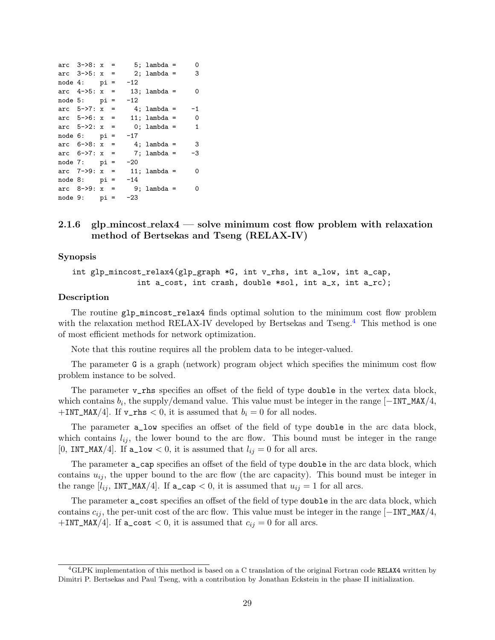| arc $3 - 8: x =$    |  |       | $5:$ lambda = | $\Omega$     |
|---------------------|--|-------|---------------|--------------|
| arc $3 - 5$ : x =   |  |       | 2; lambda =   | 3            |
| $node 4:$ $pi =$    |  | $-12$ |               |              |
| arc $4->5$ : $x =$  |  |       | 13; lambda =  | 0            |
| $node 5:$ $pi =$    |  | $-12$ |               |              |
| $arc$ 5->7: $x =$   |  |       | 4; lambda =   | $-1$         |
| $arc$ 5->6: $x =$   |  |       | 11; lambda =  | $\mathbf 0$  |
| arc $5 - > 2$ : x = |  |       | 0; lambda =   | $\mathbf{1}$ |
| $node 6:$ $pi =$    |  | $-17$ |               |              |
| arc $6 - 8$ : x =   |  |       | 4; lambda =   | -3           |
| $\arcc$ 6->7: $x =$ |  |       | 7; lambda =   | -3           |
| $node 7:$ $pi =$    |  | $-20$ |               |              |
| $arc$ 7->9: $x =$   |  |       | 11; lambda =  | 0            |
| $node 8:$ $pi =$    |  | $-14$ |               |              |
| arc $8-9: x =$      |  |       | 9; lambda =   | 0            |
| $node 9:$ $pi =$    |  | $-23$ |               |              |

## <span id="page-28-0"></span>**2.1.6 glp mincost relax4 — solve minimum cost flow problem with relaxation method of Bertsekas and Tseng (RELAX-IV)**

#### **Synopsis**

int glp\_mincost\_relax4(glp\_graph \*G, int v\_rhs, int a\_low, int a\_cap, int a\_cost, int crash, double \*sol, int a\_x, int a\_rc);

#### **Description**

The routine glp\_mincost\_relax4 finds optimal solution to the minimum cost flow problem with the relaxation method RELAX-IV developed by Bertsekas and Tseng.<sup>[4](#page-28-1)</sup> This method is one of most efficient methods for network optimization.

Note that this routine requires all the problem data to be integer-valued.

The parameter G is a graph (network) program object which specifies the minimum cost flow problem instance to be solved.

The parameter **v\_rhs** specifies an offset of the field of type double in the vertex data block, which contains *b<sup>i</sup>* , the supply/demand value. This value must be integer in the range [*−*INT\_MAX/4,  $+INT\_MAX/4$ . If  $v\_rhs < 0$ , it is assumed that  $b_i = 0$  for all nodes.

The parameter a\_low specifies an offset of the field of type double in the arc data block, which contains  $l_{ij}$ , the lower bound to the arc flow. This bound must be integer in the range [0, INT\_MAX/4]. If  $a\_low < 0$ , it is assumed that  $l_{ij} = 0$  for all arcs.

The parameter a\_cap specifies an offset of the field of type double in the arc data block, which contains  $u_{ij}$ , the upper bound to the arc flow (the arc capacity). This bound must be integer in the range  $[l_{ij}, INT\_MAX/4]$ . If  $a_{cap} < 0$ , it is assumed that  $u_{ij} = 1$  for all arcs.

The parameter a\_cost specifies an offset of the field of type double in the arc data block, which contains *cij* , the per-unit cost of the arc flow. This value must be integer in the range [*−*INT\_MAX/4, +INT\_MAX/4]. If  $a\_cost < 0$ , it is assumed that  $c_{ij} = 0$  for all arcs.

<span id="page-28-1"></span><sup>&</sup>lt;sup>4</sup>GLPK implementation of this method is based on a C translation of the original Fortran code RELAX4 written by Dimitri P. Bertsekas and Paul Tseng, with a contribution by Jonathan Eckstein in the phase II initialization.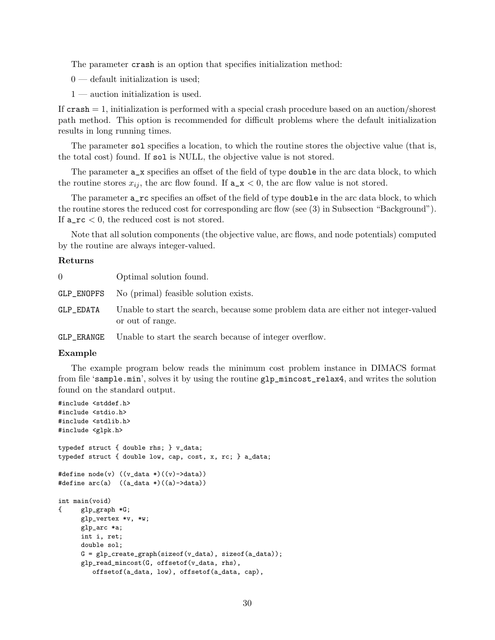The parameter crash is an option that specifies initialization method:

 $0$  — default initialization is used;

1 — auction initialization is used.

If  $crash = 1$ , initialization is performed with a special crash procedure based on an auction/shorest path method. This option is recommended for difficult problems where the default initialization results in long running times.

The parameter sol specifies a location, to which the routine stores the objective value (that is, the total cost) found. If sol is NULL, the objective value is not stored.

The parameter  $a_x$  specifies an offset of the field of type **double** in the arc data block, to which the routine stores  $x_{ij}$ , the arc flow found. If  $a_x \times 0$ , the arc flow value is not stored.

The parameter a\_rc specifies an offset of the field of type double in the arc data block, to which the routine stores the reduced cost for corresponding arc flow (see (3) in Subsection "Background"). If a\_rc *<* 0, the reduced cost is not stored.

Note that all solution components (the objective value, arc flows, and node potentials) computed by the routine are always integer-valued.

#### **Returns**

| $\Omega$   | Optimal solution found.                                                                                 |
|------------|---------------------------------------------------------------------------------------------------------|
|            | GLP_ENOPFS No (primal) feasible solution exists.                                                        |
| GLP_EDATA  | Unable to start the search, because some problem data are either not integer-valued<br>or out of range. |
| GLP_ERANGE | Unable to start the search because of integer overflow.                                                 |

#### **Example**

The example program below reads the minimum cost problem instance in DIMACS format from file 'sample.min', solves it by using the routine glp\_mincost\_relax4, and writes the solution found on the standard output.

```
#include <stddef.h>
#include <stdio.h>
#include <stdlib.h>
#include <glpk.h>
typedef struct { double rhs; } v_data;
typedef struct { double low, cap, cost, x, rc; } a_data;
#define node(v) ((v_data *)((v)->data))
#define arc(a) ((a_data *)((a)->data))
int main(void)
{ glp_graph *G;
      glp_vertex *v, *w;
      glp_arc *a;
      int i, ret;
      double sol;
      G = g1p\_create\_graph(sizeof(v_data), sizeof(a_data));glp_read_mincost(G, offsetof(v_data, rhs),
         offsetof(a_data, low), offsetof(a_data, cap),
```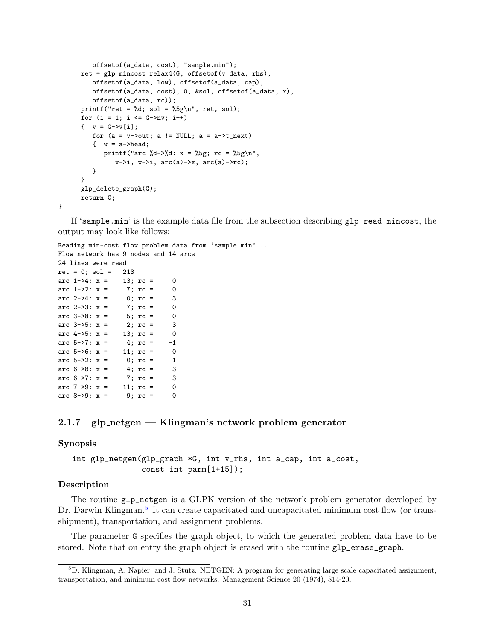```
offsetof(a_data, cost), "sample.min");
ret = glp_mincost_relax4(G, offsetof(v_data, rhs),
   offsetof(a_data, low), offsetof(a_data, cap),
   offsetof(a_data, cost), 0, &sol, offsetof(a_data, x),
   offsetof(a_data, rc));
printf("ret = \lambda d; sol = \delta \sg\n", ret, sol);
for (i = 1; i \leq G->nv; i++)\{ v = G - \nu[i];for (a = v->out; a != NULL; a = a->t_new)\{ w = a - \lambda head;
      printf("arc %d->%d: x = %5g; rc = %5g\n",
          v\rightarrow i, w\rightarrow i, arc(a)-x, arc(a)-x;
   }
}
glp_delete_graph(G);
return 0;
```
If 'sample.min' is the example data file from the subsection describing glp\_read\_mincost, the output may look like follows:

Reading min-cost flow problem data from 'sample.min'... Flow network has 9 nodes and 14 arcs 24 lines were read  $ret = 0; sol = 213$ arc  $1-\frac{3}{4}$ :  $x = 13$ ;  $rc = 0$ <br>arc  $1-\frac{3}{2}$ :  $x = 7$ ;  $rc = 0$ arc  $1 - 2$ :  $x = 7$ ;  $rc = 0$ arc  $2 - > 4$ :  $x = 0$ ;  $rc = 3$ arc  $2 - 3$ :  $x = 7$ ;  $rc = 0$ arc  $3-8$ :  $x = 5$ ;  $rc = 0$ arc  $3 - 5$ :  $x = 2$ ;  $rc = 3$ arc  $4->5$ :  $x = 13$ ;  $rc = 0$ arc  $5 - \frac{5}{7}$ :  $x = 4$ ;  $rc = -1$ arc  $5-5$ :  $x = 11$ ;  $rc = 0$ arc  $5-2$ :  $x = 0$ ;  $rc = 1$ arc  $6 - 8$ :  $x = 4$ ;  $rc = 3$ arc 6->7:  $x = 7$ ;  $rc = -3$ <br>arc 7->9:  $x = 11$ ;  $rc = 0$ arc  $7 - 9$ :  $x = 11$ ;  $rc = 0$ arc 8->9:  $x = 9; r = 0$ 

## <span id="page-30-0"></span>**2.1.7 glp netgen — Klingman's network problem generator**

#### **Synopsis**

}

int glp\_netgen(glp\_graph \*G, int v\_rhs, int a\_cap, int a\_cost, const int parm[1+15]);

## **Description**

The routine glp\_netgen is a GLPK version of the network problem generator developed by Dr. Darwin Klingman.<sup>[5](#page-30-1)</sup> It can create capacitated and uncapacitated minimum cost flow (or transshipment), transportation, and assignment problems.

The parameter G specifies the graph object, to which the generated problem data have to be stored. Note that on entry the graph object is erased with the routine glp\_erase\_graph.

<span id="page-30-1"></span><sup>5</sup>D. Klingman, A. Napier, and J. Stutz. NETGEN: A program for generating large scale capacitated assignment, transportation, and minimum cost flow networks. Management Science 20 (1974), 814-20.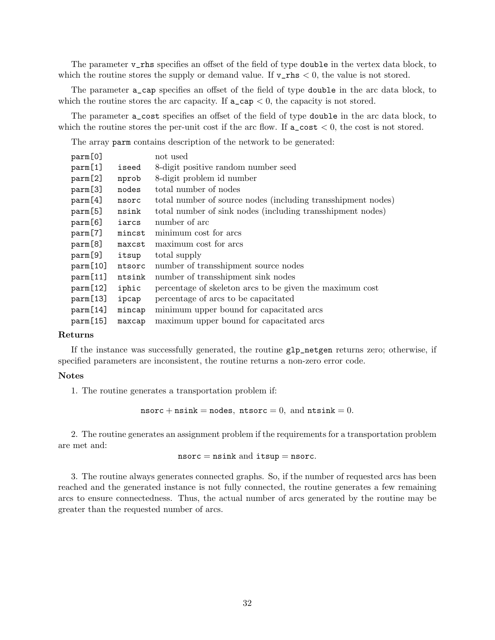The parameter v\_rhs specifies an offset of the field of type double in the vertex data block, to which the routine stores the supply or demand value. If  $v_{\text{rms}} < 0$ , the value is not stored.

The parameter a\_cap specifies an offset of the field of type double in the arc data block, to which the routine stores the arc capacity. If  $a_{\text{cap}} < 0$ , the capacity is not stored.

The parameter a\_cost specifies an offset of the field of type double in the arc data block, to which the routine stores the per-unit cost if the arc flow. If  $a\_cost < 0$ , the cost is not stored.

The array parm contains description of the network to be generated:

| parm[0]  |        | not used                                                     |
|----------|--------|--------------------------------------------------------------|
| parm[1]  | iseed  | 8-digit positive random number seed                          |
| parm[2]  | nprob  | 8-digit problem id number                                    |
| parm[3]  | nodes  | total number of nodes                                        |
| parm[4]  | nsorc  | total number of source nodes (including transshipment nodes) |
| parm[5]  | nsink  | total number of sink nodes (including transshipment nodes)   |
| parm[6]  | iarcs  | number of arc                                                |
| parm[7]  | mincst | minimum cost for arcs                                        |
| parm[8]  | maxcst | maximum cost for arcs                                        |
| parm[9]  | itsup  | total supply                                                 |
| parm[10] | ntsorc | number of transshipment source nodes                         |
| parm[11] | ntsink | number of transshipment sink nodes                           |
| parm[12] | iphic  | percentage of skeleton arcs to be given the maximum cost     |
| parm[13] | ipcap  | percentage of arcs to be capacitated                         |
| parm[14] | mincap | minimum upper bound for capacitated arcs                     |
| parm[15] | maxcap | maximum upper bound for capacitated arcs                     |

#### **Returns**

If the instance was successfully generated, the routine glp\_netgen returns zero; otherwise, if specified parameters are inconsistent, the routine returns a non-zero error code.

#### **Notes**

1. The routine generates a transportation problem if:

nsorc + nsink = nodes, ntsorc = 0, and ntsink = 0.

2. The routine generates an assignment problem if the requirements for a transportation problem are met and:

$$
\mathtt{n} \mathtt{sort} \mathtt{c} = \mathtt{n} \mathtt{sink} \ \mathtt{and} \ \mathtt{itsup} = \mathtt{n} \mathtt{sort} \mathtt{c}.
$$

3. The routine always generates connected graphs. So, if the number of requested arcs has been reached and the generated instance is not fully connected, the routine generates a few remaining arcs to ensure connectedness. Thus, the actual number of arcs generated by the routine may be greater than the requested number of arcs.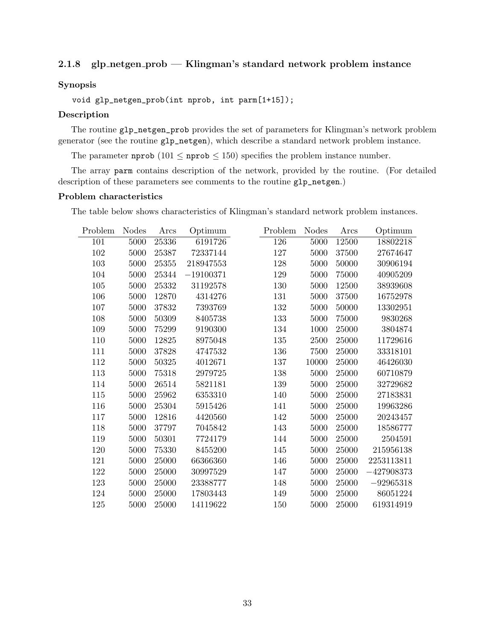## <span id="page-32-0"></span>**2.1.8 glp netgen prob — Klingman's standard network problem instance**

### **Synopsis**

void glp\_netgen\_prob(int nprob, int parm[1+15]);

#### **Description**

The routine glp\_netgen\_prob provides the set of parameters for Klingman's network problem generator (see the routine glp\_netgen), which describe a standard network problem instance.

The parameter nprob  $(101 \le$  nprob  $\le$  150) specifies the problem instance number.

The array parm contains description of the network, provided by the routine. (For detailed description of these parameters see comments to the routine glp\_netgen.)

#### **Problem characteristics**

The table below shows characteristics of Klingman's standard network problem instances.

| Problem | <b>Nodes</b> | Arcs      | Optimum     | Problem | <b>Nodes</b> | Arcs  | Optimum      |
|---------|--------------|-----------|-------------|---------|--------------|-------|--------------|
| 101     | 5000         | 25336     | 6191726     | 126     | 5000         | 12500 | 18802218     |
| 102     | 5000         | 25387     | 72337144    | 127     | 5000         | 37500 | 27674647     |
| 103     | 5000         | 25355     | 218947553   | 128     | 5000         | 50000 | 30906194     |
| 104     | 5000         | 25344     | $-19100371$ | 129     | 5000         | 75000 | 40905209     |
| 105     | 5000         | 25332     | 31192578    | 130     | 5000         | 12500 | 38939608     |
| 106     | 5000         | 12870     | 4314276     | 131     | 5000         | 37500 | 16752978     |
| 107     | 5000         | 37832     | 7393769     | 132     | 5000         | 50000 | 13302951     |
| 108     | 5000         | 50309     | 8405738     | 133     | 5000         | 75000 | 9830268      |
| 109     | 5000         | 75299     | 9190300     | 134     | 1000         | 25000 | 3804874      |
| 110     | 5000         | 12825     | 8975048     | 135     | 2500         | 25000 | 11729616     |
| 111     | 5000         | 37828     | 4747532     | 136     | 7500         | 25000 | 33318101     |
| 112     | 5000         | $50325\,$ | 4012671     | 137     | 10000        | 25000 | 46426030     |
| 113     | 5000         | 75318     | 2979725     | 138     | 5000         | 25000 | 60710879     |
| 114     | 5000         | 26514     | 5821181     | 139     | 5000         | 25000 | 32729682     |
| 115     | 5000         | 25962     | 6353310     | 140     | 5000         | 25000 | 27183831     |
| 116     | 5000         | 25304     | 5915426     | 141     | 5000         | 25000 | 19963286     |
| 117     | 5000         | 12816     | 4420560     | 142     | 5000         | 25000 | 20243457     |
| 118     | 5000         | 37797     | 7045842     | 143     | 5000         | 25000 | 18586777     |
| 119     | 5000         | 50301     | 7724179     | 144     | 5000         | 25000 | 2504591      |
| 120     | 5000         | 75330     | 8455200     | 145     | 5000         | 25000 | 215956138    |
| 121     | 5000         | 25000     | 66366360    | 146     | $5000\,$     | 25000 | 2253113811   |
| 122     | 5000         | 25000     | 30997529    | 147     | 5000         | 25000 | $-427908373$ |
| 123     | 5000         | 25000     | 23388777    | 148     | 5000         | 25000 | $-92965318$  |
| 124     | 5000         | 25000     | 17803443    | 149     | 5000         | 25000 | 86051224     |
| 125     | 5000         | 25000     | 14119622    | 150     | 5000         | 25000 | 619314919    |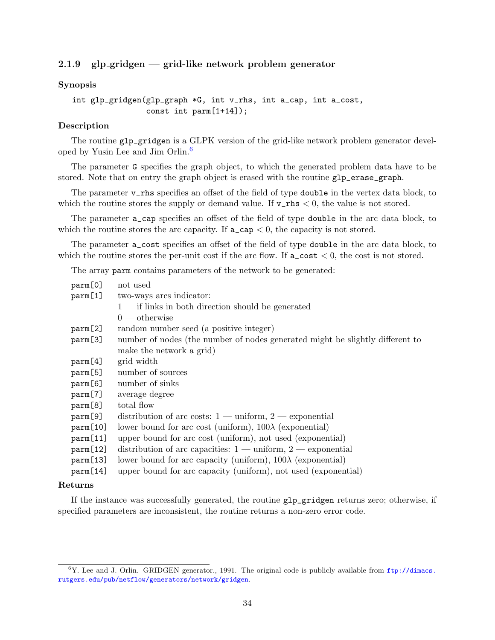## <span id="page-33-0"></span>**2.1.9 glp gridgen — grid-like network problem generator**

## **Synopsis**

```
int glp_gridgen(glp_graph *G, int v_rhs, int a_cap, int a_cost,
                const int parm[1+14]);
```
## **Description**

The routine glp\_gridgen is a GLPK version of the grid-like network problem generator developed by Yusin Lee and Jim Orlin.[6](#page-33-1)

The parameter G specifies the graph object, to which the generated problem data have to be stored. Note that on entry the graph object is erased with the routine glp\_erase\_graph.

The parameter v\_rhs specifies an offset of the field of type double in the vertex data block, to which the routine stores the supply or demand value. If  $v_{\text{rms}} < 0$ , the value is not stored.

The parameter a\_cap specifies an offset of the field of type double in the arc data block, to which the routine stores the arc capacity. If  $a_{\text{cap}} < 0$ , the capacity is not stored.

The parameter a\_cost specifies an offset of the field of type double in the arc data block, to which the routine stores the per-unit cost if the arc flow. If  $a\_cost < 0$ , the cost is not stored.

The array parm contains parameters of the network to be generated:

| parm[0]           | not used                                                                      |
|-------------------|-------------------------------------------------------------------------------|
| param[1]          | two-ways arcs indicator:                                                      |
|                   | $1$ — if links in both direction should be generated                          |
|                   | $0$ — otherwise                                                               |
| $\text{param}[2]$ | random number seed (a positive integer)                                       |
| parm[3]           | number of nodes (the number of nodes generated might be slightly different to |
|                   | make the network a grid)                                                      |
| parm[4]           | grid width                                                                    |
| parm[5]           | number of sources                                                             |
| parm[6]           | number of sinks                                                               |
| parm[7]           | average degree                                                                |
| parm[8]           | total flow                                                                    |
| parm[9]           | distribution of arc costs: $1 - \text{uniform}, 2 - \text{exponential}$       |
| param[10]         | lower bound for arc cost (uniform), $100\lambda$ (exponential)                |
| param[11]         | upper bound for arc cost (uniform), not used (exponential)                    |
| param[12]         | distribution of arc capacities: $1 - \text{uniform}, 2 - \text{exponential}$  |
| param[13]         | lower bound for arc capacity (uniform), $100\lambda$ (exponential)            |
| param[14]         | upper bound for arc capacity (uniform), not used (exponential)                |

### **Returns**

If the instance was successfully generated, the routine glp\_gridgen returns zero; otherwise, if specified parameters are inconsistent, the routine returns a non-zero error code.

<span id="page-33-1"></span> ${}^{6}Y$ . Lee and J. Orlin. GRIDGEN generator., 1991. The original code is publicly available from  $ftp://dimacs.$ [rutgers.edu/pub/netflow/generators/network/gridgen](ftp://dimacs.rutgers.edu/pub/netflow/generators/network/gridgen).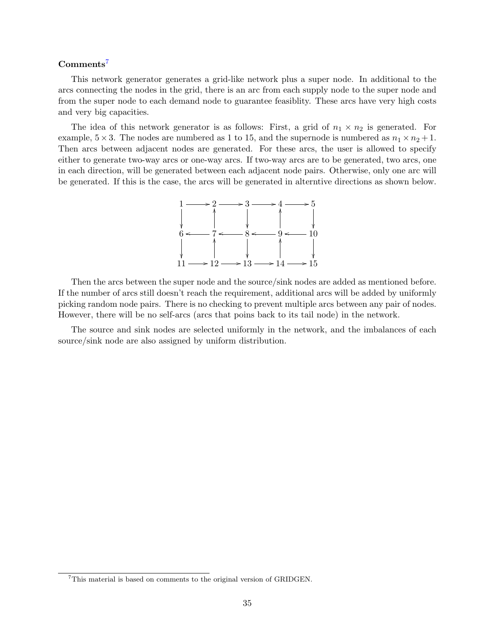## **Comments**[7](#page-34-0)

This network generator generates a grid-like network plus a super node. In additional to the arcs connecting the nodes in the grid, there is an arc from each supply node to the super node and from the super node to each demand node to guarantee feasiblity. These arcs have very high costs and very big capacities.

The idea of this network generator is as follows: First, a grid of  $n_1 \times n_2$  is generated. For example,  $5 \times 3$ . The nodes are numbered as 1 to 15, and the supernode is numbered as  $n_1 \times n_2 + 1$ . Then arcs between adjacent nodes are generated. For these arcs, the user is allowed to specify either to generate two-way arcs or one-way arcs. If two-way arcs are to be generated, two arcs, one in each direction, will be generated between each adjacent node pairs. Otherwise, only one arc will be generated. If this is the case, the arcs will be generated in alterntive directions as shown below.



Then the arcs between the super node and the source/sink nodes are added as mentioned before. If the number of arcs still doesn't reach the requirement, additional arcs will be added by uniformly picking random node pairs. There is no checking to prevent multiple arcs between any pair of nodes. However, there will be no self-arcs (arcs that poins back to its tail node) in the network.

The source and sink nodes are selected uniformly in the network, and the imbalances of each source/sink node are also assigned by uniform distribution.

<span id="page-34-0"></span><sup>&</sup>lt;sup>7</sup>This material is based on comments to the original version of GRIDGEN.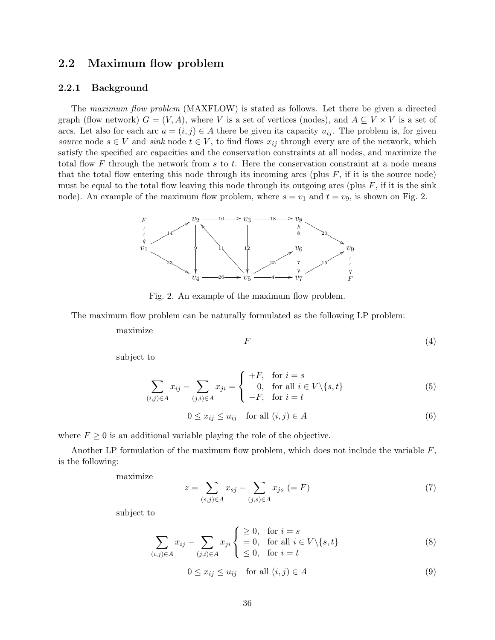## <span id="page-35-0"></span>**2.2 Maximum flow problem**

#### <span id="page-35-1"></span>**2.2.1 Background**

The *maximum flow problem* (MAXFLOW) is stated as follows. Let there be given a directed graph (flow network)  $G = (V, A)$ , where *V* is a set of vertices (nodes), and  $A \subseteq V \times V$  is a set of arcs. Let also for each arc  $a = (i, j) \in A$  there be given its capacity  $u_{ij}$ . The problem is, for given *source* node  $s \in V$  and *sink* node  $t \in V$ , to find flows  $x_{ij}$  through every arc of the network, which satisfy the specified arc capacities and the conservation constraints at all nodes, and maximize the total flow *F* through the network from *s* to *t*. Here the conservation constraint at a node means that the total flow entering this node through its incoming arcs (plus  $F$ , if it is the source node) must be equal to the total flow leaving this node through its outgoing arcs (plus *F*, if it is the sink node). An example of the maximum flow problem, where  $s = v_1$  and  $t = v_9$ , is shown on Fig. 2.



Fig. 2. An example of the maximum flow problem.

The maximum flow problem can be naturally formulated as the following LP problem:

maximize

$$
F \tag{4}
$$

subject to

$$
\sum_{(i,j)\in A} x_{ij} - \sum_{(j,i)\in A} x_{ji} = \begin{cases} +F, & \text{for } i=s\\ 0, & \text{for all } i \in V \setminus \{s,t\} \\ -F, & \text{for } i=t \end{cases}
$$
(5)

$$
0 \le x_{ij} \le u_{ij} \quad \text{for all } (i,j) \in A \tag{6}
$$

where  $F \geq 0$  is an additional variable playing the role of the objective.

Another LP formulation of the maximum flow problem, which does not include the variable *F*, is the following:

maximize

$$
z = \sum_{(s,j)\in A} x_{sj} - \sum_{(j,s)\in A} x_{js} (= F)
$$
 (7)

subject to

$$
\sum_{(i,j)\in A} x_{ij} - \sum_{(j,i)\in A} x_{ji} \begin{cases} \geq 0, & \text{for } i = s \\ = 0, & \text{for all } i \in V \setminus \{s, t\} \\ \leq 0, & \text{for } i = t \end{cases}
$$
 (8)

$$
0 \le x_{ij} \le u_{ij} \quad \text{for all } (i,j) \in A \tag{9}
$$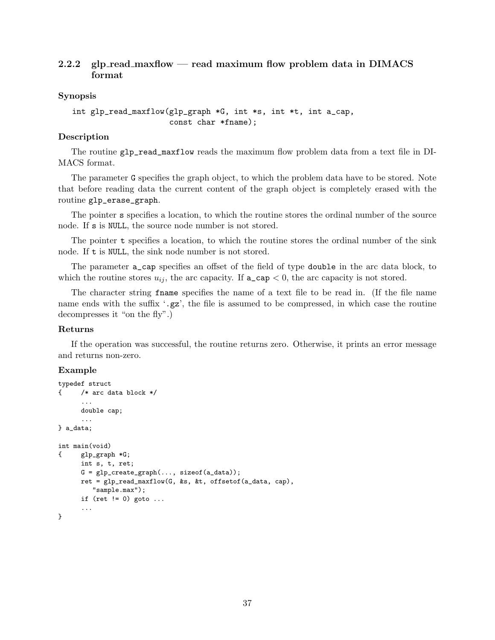## <span id="page-36-0"></span>**2.2.2 glp read maxflow — read maximum flow problem data in DIMACS format**

## **Synopsis**

```
int glp_read_maxflow(glp_graph *G, int *s, int *t, int a_cap,
                     const char *fname);
```
## **Description**

The routine glp\_read\_maxflow reads the maximum flow problem data from a text file in DI-MACS format.

The parameter G specifies the graph object, to which the problem data have to be stored. Note that before reading data the current content of the graph object is completely erased with the routine glp\_erase\_graph.

The pointer s specifies a location, to which the routine stores the ordinal number of the source node. If s is NULL, the source node number is not stored.

The pointer **t** specifies a location, to which the routine stores the ordinal number of the sink node. If t is NULL, the sink node number is not stored.

The parameter a\_cap specifies an offset of the field of type double in the arc data block, to which the routine stores  $u_{ij}$ , the arc capacity. If  $a\text{-cap} < 0$ , the arc capacity is not stored.

The character string fname specifies the name of a text file to be read in. (If the file name name ends with the suffix '.gz', the file is assumed to be compressed, in which case the routine decompresses it "on the fly".)

## **Returns**

If the operation was successful, the routine returns zero. Otherwise, it prints an error message and returns non-zero.

## **Example**

```
typedef struct
{ /* arc data block */
      ...
     double cap;
      ...
} a_data;
int main(void)
{ glp_graph *G;
     int s, t, ret;
     G = glp\_create\_graph(..., sizeof(a_data));ret = glp_read_maxflow(G, &s, &t, offsetof(a_data, cap),
        "sample.max");
     if (ret != 0) goto ...
      ...
}
```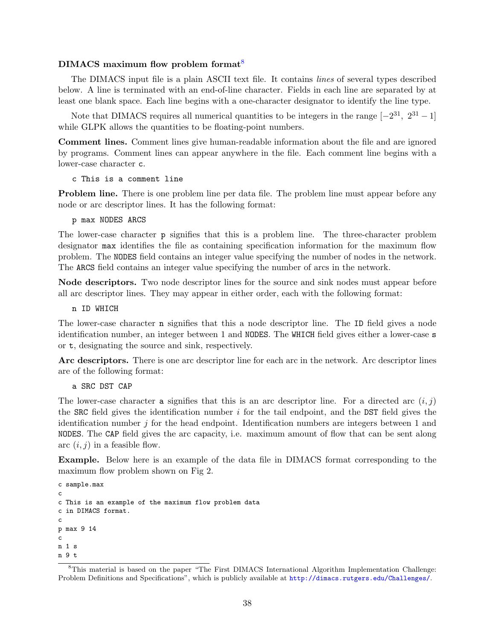## **DIMACS maximum flow problem format**[8](#page-37-0)

The DIMACS input file is a plain ASCII text file. It contains *lines* of several types described below. A line is terminated with an end-of-line character. Fields in each line are separated by at least one blank space. Each line begins with a one-character designator to identify the line type.

Note that DIMACS requires all numerical quantities to be integers in the range  $[-2^{31}, 2^{31} - 1]$ while GLPK allows the quantities to be floating-point numbers.

**Comment lines.** Comment lines give human-readable information about the file and are ignored by programs. Comment lines can appear anywhere in the file. Each comment line begins with a lower-case character c.

c This is a comment line

**Problem line.** There is one problem line per data file. The problem line must appear before any node or arc descriptor lines. It has the following format:

#### p max NODES ARCS

The lower-case character p signifies that this is a problem line. The three-character problem designator max identifies the file as containing specification information for the maximum flow problem. The NODES field contains an integer value specifying the number of nodes in the network. The ARCS field contains an integer value specifying the number of arcs in the network.

**Node descriptors.** Two node descriptor lines for the source and sink nodes must appear before all arc descriptor lines. They may appear in either order, each with the following format:

n ID WHICH

The lower-case character n signifies that this a node descriptor line. The ID field gives a node identification number, an integer between 1 and NODES. The WHICH field gives either a lower-case s or t, designating the source and sink, respectively.

**Arc descriptors.** There is one arc descriptor line for each arc in the network. Arc descriptor lines are of the following format:

a SRC DST CAP

The lower-case character a signifies that this is an arc descriptor line. For a directed arc  $(i, j)$ the SRC field gives the identification number *i* for the tail endpoint, and the DST field gives the identification number *j* for the head endpoint. Identification numbers are integers between 1 and NODES. The CAP field gives the arc capacity, i.e. maximum amount of flow that can be sent along arc (*i, j*) in a feasible flow.

**Example.** Below here is an example of the data file in DIMACS format corresponding to the maximum flow problem shown on Fig 2.

```
c sample.max
c
c This is an example of the maximum flow problem data
c in DIMACS format.
c
p max 9 14
c
n 1 s
n 9 t
```
<span id="page-37-0"></span><sup>8</sup>This material is based on the paper "The First DIMACS International Algorithm Implementation Challenge: Problem Definitions and Specifications", which is publicly available at <http://dimacs.rutgers.edu/Challenges/>.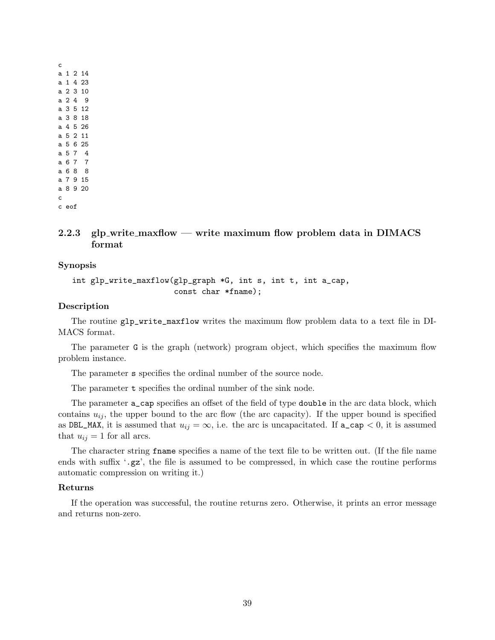## <span id="page-38-0"></span>**2.2.3 glp write maxflow — write maximum flow problem data in DIMACS format**

### **Synopsis**

int glp\_write\_maxflow(glp\_graph \*G, int s, int t, int a\_cap, const char \*fname);

#### **Description**

The routine glp\_write\_maxflow writes the maximum flow problem data to a text file in DI-MACS format.

The parameter G is the graph (network) program object, which specifies the maximum flow problem instance.

The parameter s specifies the ordinal number of the source node.

The parameter **t** specifies the ordinal number of the sink node.

The parameter a\_cap specifies an offset of the field of type double in the arc data block, which contains  $u_{ij}$ , the upper bound to the arc flow (the arc capacity). If the upper bound is specified as DBL\_MAX, it is assumed that  $u_{ij} = \infty$ , i.e. the arc is uncapacitated. If  $a_{\text{cap}} < 0$ , it is assumed that  $u_{ij} = 1$  for all arcs.

The character string fname specifies a name of the text file to be written out. (If the file name ends with suffix '.gz', the file is assumed to be compressed, in which case the routine performs automatic compression on writing it.)

#### **Returns**

If the operation was successful, the routine returns zero. Otherwise, it prints an error message and returns non-zero.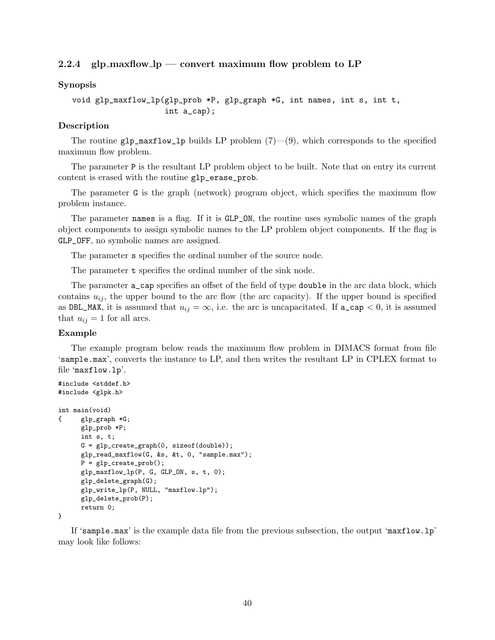## <span id="page-39-0"></span>**2.2.4 glp maxflow lp — convert maximum flow problem to LP**

#### **Synopsis**

void glp\_maxflow\_lp(glp\_prob \*P, glp\_graph \*G, int names, int s, int t, int a\_cap);

#### **Description**

The routine  $g1p_maxflow_1p$  builds LP problem  $(7)$ — $(9)$ , which corresponds to the specified maximum flow problem.

The parameter P is the resultant LP problem object to be built. Note that on entry its current content is erased with the routine glp\_erase\_prob.

The parameter G is the graph (network) program object, which specifies the maximum flow problem instance.

The parameter names is a flag. If it is GLP\_ON, the routine uses symbolic names of the graph object components to assign symbolic names to the LP problem object components. If the flag is GLP\_OFF, no symbolic names are assigned.

The parameter s specifies the ordinal number of the source node.

The parameter **t** specifies the ordinal number of the sink node.

The parameter **a\_cap** specifies an offset of the field of type **double** in the arc data block, which contains  $u_{ij}$ , the upper bound to the arc flow (the arc capacity). If the upper bound is specified as DBL\_MAX, it is assumed that  $u_{ij} = \infty$ , i.e. the arc is uncapacitated. If  $a\text{-cap} < 0$ , it is assumed that  $u_{ij} = 1$  for all arcs.

#### **Example**

#include <stddef.h>

The example program below reads the maximum flow problem in DIMACS format from file 'sample.max', converts the instance to LP, and then writes the resultant LP in CPLEX format to file 'maxflow.lp'.

```
#include <glpk.h>
int main(void)
{ glp_graph *G;
      glp_prob *P;
      int s, t;
      G = glp\_create\_graph(0, sizeof(double));glp_read_maxflow(G, &s, &t, 0, "sample.max");
      P = glp\_create\_prob();
      glp_maxflow_lp(P, G, GLP_ON, s, t, 0);
      glp_delete_graph(G);
      glp_write_lp(P, NULL, "maxflow.lp");
      glp_delete_prob(P);
      return 0;
```
}

If 'sample.max' is the example data file from the previous subsection, the output 'maxflow.lp' may look like follows: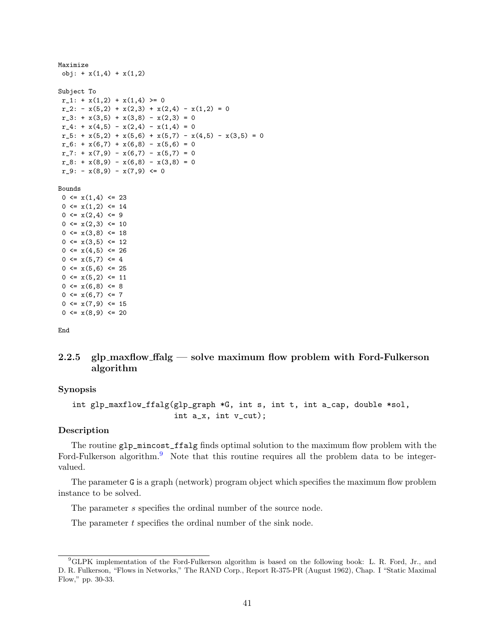```
Maximize
obj: + x(1,4) + x(1,2)Subject To
r_1: + x(1,2) + x(1,4) \ge 0r_2: -x(5,2) + x(2,3) + x(2,4) - x(1,2) = 0r_3: + x(3,5) + x(3,8) - x(2,3) = 0r_4: + x(4,5) - x(2,4) - x(1,4) = 0r_5: + x(5,2) + x(5,6) + x(5,7) - x(4,5) - x(3,5) = 0r_6: + x(6,7) + x(6,8) - x(5,6) = 0r_2: + x(7,9) - x(6,7) - x(5,7) = 0r_8: + x(8,9) - x(6,8) - x(3,8) = 0r_9: - x(8,9) - x(7,9) \leq 0Bounds
0 \le x(1,4) \le 230 \leq x(1,2) \leq 140 \leq x(2, 4) \leq 90 \leq x(2,3) \leq 100 \leq x(3,8) \leq 180 \leq x(3,5) \leq 120 \leq x(4,5) \leq 260 \le x(5,7) \le 40 \leq x(5,6) \leq 250 \leq x(5,2) \leq 110 \leq x(6,8) \leq 80 \leq x(6,7) \leq 70 \leq x(7, 9) \leq 15
```
End

## <span id="page-40-0"></span>**2.2.5 glp maxflow ffalg — solve maximum flow problem with Ford-Fulkerson algorithm**

#### **Synopsis**

 $0 \leq x(8, 9) \leq 20$ 

```
int glp_maxflow_ffalg(glp_graph *G, int s, int t, int a_cap, double *sol,
                      int a_x, int v_cut);
```
## **Description**

The routine glp\_mincost\_ffalg finds optimal solution to the maximum flow problem with the Ford-Fulkerson algorithm.<sup>[9](#page-40-1)</sup> Note that this routine requires all the problem data to be integervalued.

The parameter G is a graph (network) program object which specifies the maximum flow problem instance to be solved.

The parameter *s* specifies the ordinal number of the source node.

The parameter *t* specifies the ordinal number of the sink node.

<span id="page-40-1"></span><sup>9</sup>GLPK implementation of the Ford-Fulkerson algorithm is based on the following book: L. R. Ford, Jr., and D. R. Fulkerson, "Flows in Networks," The RAND Corp., Report R-375-PR (August 1962), Chap. I "Static Maximal Flow," pp. 30-33.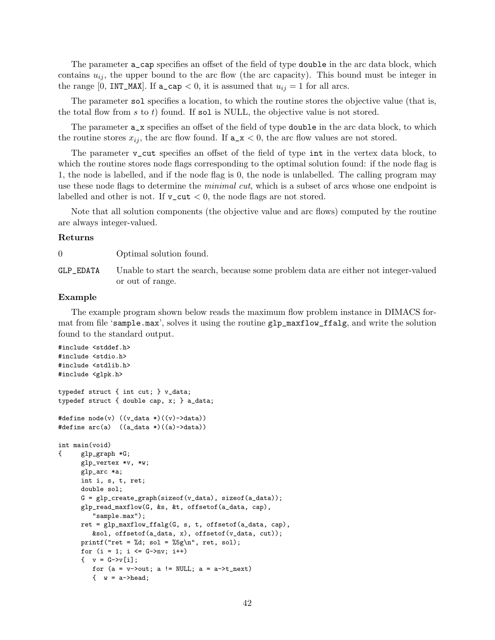The parameter a\_cap specifies an offset of the field of type double in the arc data block, which contains  $u_{ij}$ , the upper bound to the arc flow (the arc capacity). This bound must be integer in the range [0, INT\_MAX]. If  $a\text{-cap} < 0$ , it is assumed that  $u_{ij} = 1$  for all arcs.

The parameter sol specifies a location, to which the routine stores the objective value (that is, the total flow from *s* to *t*) found. If sol is NULL, the objective value is not stored.

The parameter  $a_x$  specifies an offset of the field of type **double** in the arc data block, to which the routine stores  $x_{ij}$ , the arc flow found. If  $a_x < 0$ , the arc flow values are not stored.

The parameter v\_cut specifies an offset of the field of type int in the vertex data block, to which the routine stores node flags corresponding to the optimal solution found: if the node flag is 1, the node is labelled, and if the node flag is 0, the node is unlabelled. The calling program may use these node flags to determine the *minimal cut*, which is a subset of arcs whose one endpoint is labelled and other is not. If  $v_{\text{cut}} < 0$ , the node flags are not stored.

Note that all solution components (the objective value and arc flows) computed by the routine are always integer-valued.

#### **Returns**

0 Optimal solution found.

GLP\_EDATA Unable to start the search, because some problem data are either not integer-valued or out of range.

## **Example**

The example program shown below reads the maximum flow problem instance in DIMACS format from file 'sample.max', solves it using the routine glp\_maxflow\_ffalg, and write the solution found to the standard output.

```
#include <stddef.h>
#include <stdio.h>
#include <stdlib.h>
#include <glpk.h>
typedef struct { int cut; } v_data;
typedef struct { double cap, x; } a_data;
#define node(v) ((v_data *)((v)->data))
#define arc(a) ((a_data *)((a)->data))
int main(void)
{ glp_graph *G;
      glp_vertex *v, *w;
      glp_arc *a;
      int i, s, t, ret;
      double sol;
      G = g1p\_create\_graph(sizeof(v_data), sizeof(a_data));glp_read_maxflow(G, &s, &t, offsetof(a_data, cap),
         "sample.max");
      ret = glp_maxflow_ffalg(G, s, t, offsetof(a_data, cap),
         &sol, offsetof(a_data, x), offsetof(v_data, cut));
      printf("ret = \daggerd; sol = \frac{5}{5}\n", ret, sol);
      for (i = 1; i \le G->nv; i++)\{ v = G - \nu[i];for (a = v\rightarrow out; a != NULL; a = a\rightarrow t\_next)\{ w = a->head;
```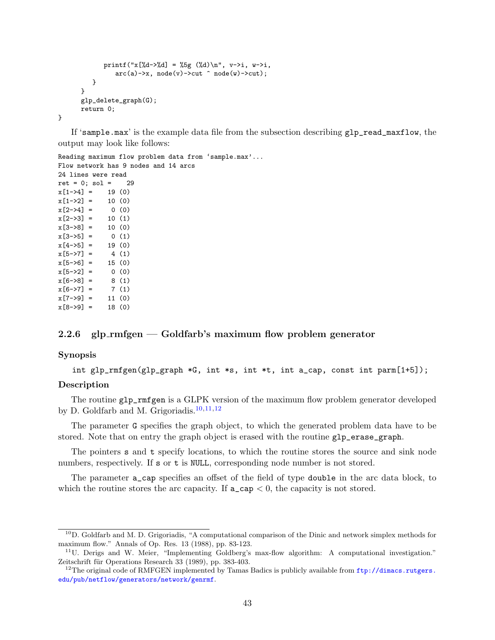```
printf("x[%d->%d] = %5g (%d)\n", v->i, w->i,
                arc(a)->x, node(v)-> cut \text{ node}(w)-> cut);}
      }
      glp_delete_graph(G);
      return 0;
}
```
If 'sample.max' is the example data file from the subsection describing glp\_read\_maxflow, the output may look like follows:

```
Reading maximum flow problem data from 'sample.max'...
Flow network has 9 nodes and 14 arcs
24 lines were read
ret = 0; sol = 29x[1->4] = 19(0)x[1-2] = 10(0)x[2->4] = 0 (0)
x[2->3] = 10(1)x[3-8] = 10(0)x[3->5] = 0 (1)
x[4->5] = 19(0)x[5->7] = 4(1)x[5->6] = 15(0)x[5->2] = 0 (0)
x[6->8] = 8(1)x[6 - 27] = 7(1)x[7-9] = 11(0)x[8-9] = 18(0)
```
## <span id="page-42-0"></span>**2.2.6 glp rmfgen — Goldfarb's maximum flow problem generator**

### **Synopsis**

int glp\_rmfgen(glp\_graph \*G, int \*s, int \*t, int a\_cap, const int parm[1+5]);

#### **Description**

The routine glp\_rmfgen is a GLPK version of the maximum flow problem generator developed by D. Goldfarb and M. Grigoriadis.[10](#page-42-1)*,*[11](#page-42-2)*,*[12](#page-42-3)

The parameter G specifies the graph object, to which the generated problem data have to be stored. Note that on entry the graph object is erased with the routine glp\_erase\_graph.

The pointers s and t specify locations, to which the routine stores the source and sink node numbers, respectively. If s or t is NULL, corresponding node number is not stored.

The parameter a\_cap specifies an offset of the field of type double in the arc data block, to which the routine stores the arc capacity. If  $a_{\text{cap}} < 0$ , the capacity is not stored.

<span id="page-42-1"></span><sup>10</sup>D. Goldfarb and M. D. Grigoriadis, "A computational comparison of the Dinic and network simplex methods for maximum flow." Annals of Op. Res. 13 (1988), pp. 83-123.

<span id="page-42-2"></span> $11$ U. Derigs and W. Meier, "Implementing Goldberg's max-flow algorithm: A computational investigation." Zeitschrift für Operations Research 33 (1989), pp. 383-403.

<span id="page-42-3"></span><sup>&</sup>lt;sup>12</sup>The original code of RMFGEN implemented by Tamas Badics is publicly available from  $\text{ftp://dimacs.rutgers.}$  $\text{ftp://dimacs.rutgers.}$  $\text{ftp://dimacs.rutgers.}$ [edu/pub/netflow/generators/network/genrmf](ftp://dimacs.rutgers.edu/pub/netflow/generators/network/genrmf).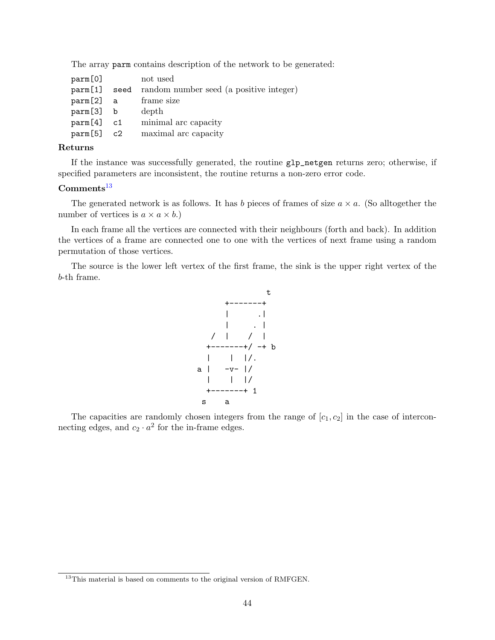The array parm contains description of the network to be generated:

|      | not used                                |
|------|-----------------------------------------|
| seed | random number seed (a positive integer) |
|      | frame size                              |
|      | depth                                   |
|      | minimal arc capacity                    |
|      | maximal arc capacity                    |
|      | a<br>b<br>c1<br>$param[5]$ $c2$         |

## **Returns**

If the instance was successfully generated, the routine glp\_netgen returns zero; otherwise, if specified parameters are inconsistent, the routine returns a non-zero error code.

## **Comments**[13](#page-43-0)

The generated network is as follows. It has *b* pieces of frames of size  $a \times a$ . (So alltogether the number of vertices is  $a \times a \times b$ .)

In each frame all the vertices are connected with their neighbours (forth and back). In addition the vertices of a frame are connected one to one with the vertices of next frame using a random permutation of those vertices.

The source is the lower left vertex of the first frame, the sink is the upper right vertex of the *b*-th frame.



The capacities are randomly chosen integers from the range of  $[c_1, c_2]$  in the case of interconnecting edges, and  $c_2 \cdot a^2$  for the in-frame edges.

<span id="page-43-0"></span><sup>&</sup>lt;sup>13</sup>This material is based on comments to the original version of RMFGEN.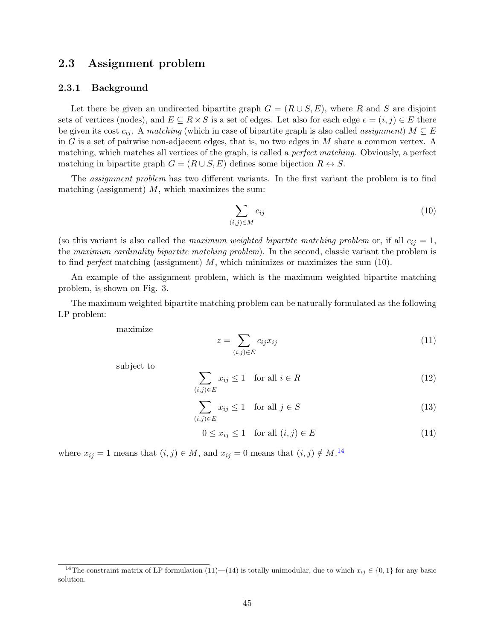# <span id="page-44-0"></span>**2.3 Assignment problem**

#### <span id="page-44-1"></span>**2.3.1 Background**

Let there be given an undirected bipartite graph  $G = (R \cup S, E)$ , where R and S are disjoint sets of vertices (nodes), and  $E \subseteq R \times S$  is a set of edges. Let also for each edge  $e = (i, j) \in E$  there be given its cost  $c_{ij}$ . A *matching* (which in case of bipartite graph is also called *assignment*)  $M \subseteq E$ in *G* is a set of pairwise non-adjacent edges, that is, no two edges in *M* share a common vertex. A matching, which matches all vertices of the graph, is called a *perfect matching*. Obviously, a perfect matching in bipartite graph  $G = (R \cup S, E)$  defines some bijection  $R \leftrightarrow S$ .

The *assignment problem* has two different variants. In the first variant the problem is to find matching (assignment) *M*, which maximizes the sum:

$$
\sum_{(i,j)\in M} c_{ij} \tag{10}
$$

(so this variant is also called the *maximum weighted bipartite matching problem* or, if all  $c_{ij} = 1$ , the *maximum cardinality bipartite matching problem*). In the second, classic variant the problem is to find *perfect* matching (assignment) *M*, which minimizes or maximizes the sum (10).

An example of the assignment problem, which is the maximum weighted bipartite matching problem, is shown on Fig. 3.

The maximum weighted bipartite matching problem can be naturally formulated as the following LP problem:

maximize

$$
z = \sum_{(i,j)\in E} c_{ij} x_{ij} \tag{11}
$$

subject to

$$
\sum_{(i,j)\in E} x_{ij} \le 1 \quad \text{for all } i \in R
$$
\n(12)

$$
\sum_{(i,j)\in E} x_{ij} \le 1 \quad \text{for all } j \in S
$$
\n(13)

$$
0 \le x_{ij} \le 1 \quad \text{for all } (i,j) \in E \tag{14}
$$

where  $x_{ij} = 1$  means that  $(i, j) \in M$ , and  $x_{ij} = 0$  means that  $(i, j) \notin M$ .<sup>[14](#page-44-2)</sup>

<span id="page-44-2"></span><sup>&</sup>lt;sup>14</sup>The constraint matrix of LP formulation (11)—(14) is totally unimodular, due to which  $x_{ij} \in \{0,1\}$  for any basic solution.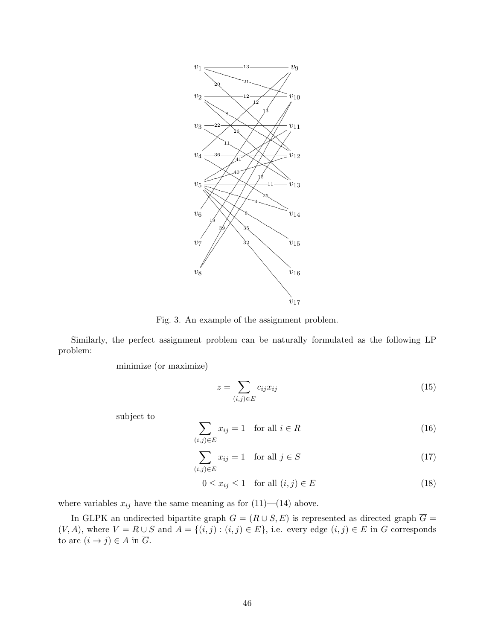

Fig. 3. An example of the assignment problem.

Similarly, the perfect assignment problem can be naturally formulated as the following LP problem:

minimize (or maximize)

$$
z = \sum_{(i,j)\in E} c_{ij} x_{ij} \tag{15}
$$

subject to

$$
\sum_{(i,j)\in E} x_{ij} = 1 \quad \text{for all } i \in R
$$
\n(16)

$$
\sum_{(i,j)\in E} x_{ij} = 1 \quad \text{for all } j \in S \tag{17}
$$

$$
0 \le x_{ij} \le 1 \quad \text{for all } (i,j) \in E \tag{18}
$$

where variables  $x_{ij}$  have the same meaning as for  $(11)$ — $(14)$  above.

In GLPK an undirected bipartite graph  $G = (R \cup S, E)$  is represented as directed graph  $\overline{G} =$  $(V, A)$ , where  $V = R \cup S$  and  $A = \{(i, j) : (i, j) \in E\}$ , i.e. every edge  $(i, j) \in E$  in *G* corresponds to arc  $(i \rightarrow j) \in A$  in  $\overline{G}$ .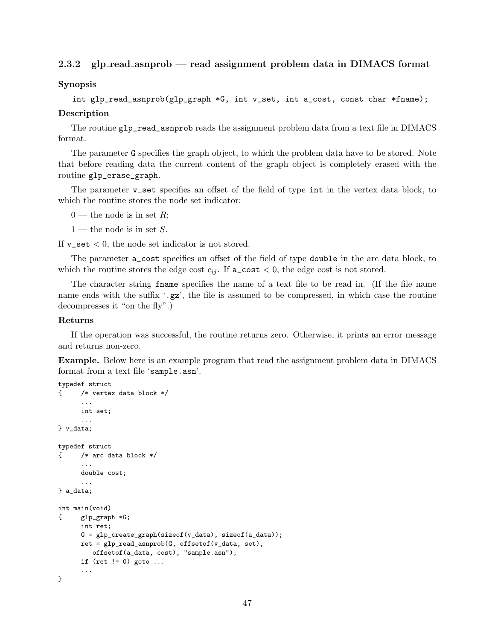## <span id="page-46-0"></span>**2.3.2 glp read asnprob — read assignment problem data in DIMACS format**

**Synopsis**

int glp\_read\_asnprob(glp\_graph \*G, int v\_set, int a\_cost, const char \*fname);

#### **Description**

The routine glp\_read\_asnprob reads the assignment problem data from a text file in DIMACS format.

The parameter G specifies the graph object, to which the problem data have to be stored. Note that before reading data the current content of the graph object is completely erased with the routine glp\_erase\_graph.

The parameter v\_set specifies an offset of the field of type int in the vertex data block, to which the routine stores the node set indicator:

 $0$  — the node is in set R;

1 — the node is in set *S*.

If  $v$ **\_set**  $\lt$  0, the node set indicator is not stored.

The parameter a\_cost specifies an offset of the field of type double in the arc data block, to which the routine stores the edge cost  $c_{ij}$ . If  $a\_{cost} < 0$ , the edge cost is not stored.

The character string fname specifies the name of a text file to be read in. (If the file name name ends with the suffix '.gz', the file is assumed to be compressed, in which case the routine decompresses it "on the fly".)

#### **Returns**

If the operation was successful, the routine returns zero. Otherwise, it prints an error message and returns non-zero.

**Example.** Below here is an example program that read the assignment problem data in DIMACS format from a text file 'sample.asn'.

```
typedef struct
{ /* vertex data block */
     ...
     int set;
      ...
} v_data;
typedef struct
{ /* arc data block */
      ...
     double cost;
      ...
} a_data;
int main(void)
{ glp_graph *G;
     int ret;
     G = g1p\_create\_graph(sizeof(v_data), sizeof(a_data));ret = glp\_read\_asnprob(G, offsetof(v_data, set),offsetof(a_data, cost), "sample.asn");
     if (ret != 0) goto ...
      ...
}
```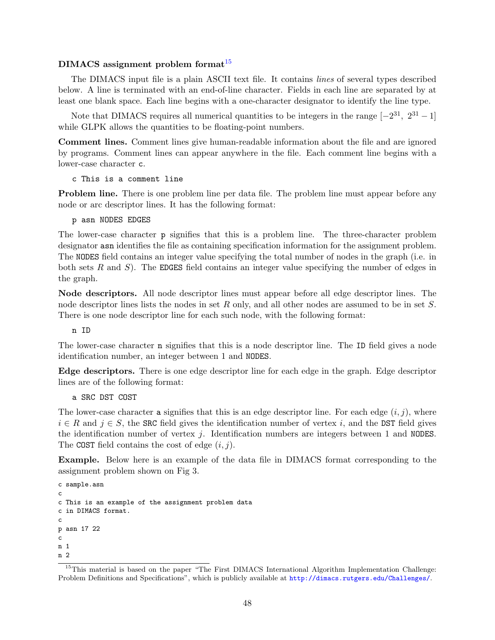## **DIMACS assignment problem format**[15](#page-47-0)

The DIMACS input file is a plain ASCII text file. It contains *lines* of several types described below. A line is terminated with an end-of-line character. Fields in each line are separated by at least one blank space. Each line begins with a one-character designator to identify the line type.

Note that DIMACS requires all numerical quantities to be integers in the range  $[-2^{31}, 2^{31} - 1]$ while GLPK allows the quantities to be floating-point numbers.

**Comment lines.** Comment lines give human-readable information about the file and are ignored by programs. Comment lines can appear anywhere in the file. Each comment line begins with a lower-case character c.

c This is a comment line

**Problem line.** There is one problem line per data file. The problem line must appear before any node or arc descriptor lines. It has the following format:

p asn NODES EDGES

The lower-case character p signifies that this is a problem line. The three-character problem designator asn identifies the file as containing specification information for the assignment problem. The NODES field contains an integer value specifying the total number of nodes in the graph (i.e. in both sets *R* and *S*). The EDGES field contains an integer value specifying the number of edges in the graph.

**Node descriptors.** All node descriptor lines must appear before all edge descriptor lines. The node descriptor lines lists the nodes in set *R* only, and all other nodes are assumed to be in set *S*. There is one node descriptor line for each such node, with the following format:

n ID

The lower-case character n signifies that this is a node descriptor line. The ID field gives a node identification number, an integer between 1 and NODES.

**Edge descriptors.** There is one edge descriptor line for each edge in the graph. Edge descriptor lines are of the following format:

a SRC DST COST

The lower-case character a signifies that this is an edge descriptor line. For each edge  $(i, j)$ , where  $i \in R$  and  $j \in S$ , the SRC field gives the identification number of vertex *i*, and the DST field gives the identification number of vertex *j*. Identification numbers are integers between 1 and NODES. The COST field contains the cost of edge (*i, j*).

**Example.** Below here is an example of the data file in DIMACS format corresponding to the assignment problem shown on Fig 3.

```
c sample.asn
c
c This is an example of the assignment problem data
c in DIMACS format.
c
p asn 17 22
c
n 1
n 2
```
<span id="page-47-0"></span><sup>&</sup>lt;sup>15</sup>This material is based on the paper "The First DIMACS International Algorithm Implementation Challenge: Problem Definitions and Specifications", which is publicly available at <http://dimacs.rutgers.edu/Challenges/>.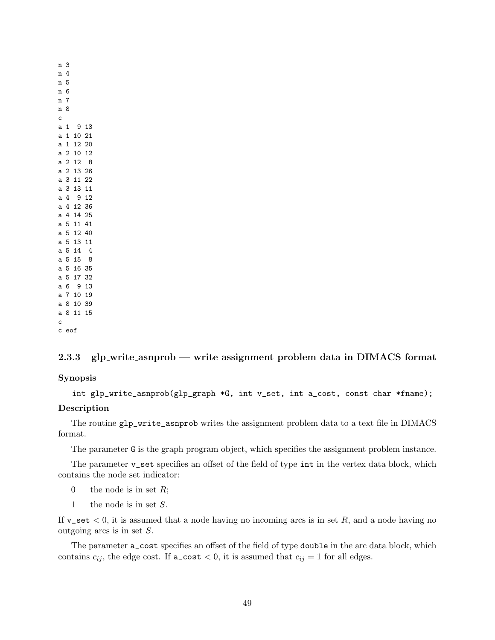## <span id="page-48-0"></span>**2.3.3 glp write asnprob — write assignment problem data in DIMACS format**

**Synopsis**

int glp\_write\_asnprob(glp\_graph \*G, int v\_set, int a\_cost, const char \*fname);

### **Description**

The routine glp\_write\_asnprob writes the assignment problem data to a text file in DIMACS format.

The parameter G is the graph program object, which specifies the assignment problem instance.

The parameter v\_set specifies an offset of the field of type int in the vertex data block, which contains the node set indicator:

 $0$  — the node is in set *R*;

1 — the node is in set *S*.

If  $v$ **\_set**  $< 0$ , it is assumed that a node having no incoming arcs is in set R, and a node having no outgoing arcs is in set *S*.

The parameter a\_cost specifies an offset of the field of type double in the arc data block, which contains  $c_{ij}$ , the edge cost. If  $a\_cost < 0$ , it is assumed that  $c_{ij} = 1$  for all edges.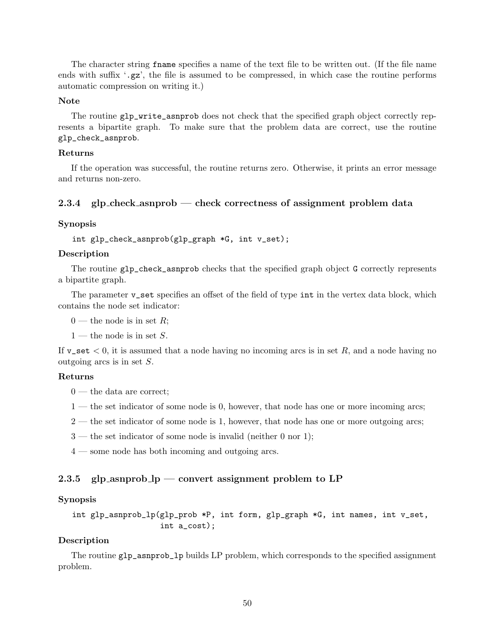The character string fname specifies a name of the text file to be written out. (If the file name ends with suffix  $\cdot$ ,  $gz'$ , the file is assumed to be compressed, in which case the routine performs automatic compression on writing it.)

#### **Note**

The routine glp\_write\_asnprob does not check that the specified graph object correctly represents a bipartite graph. To make sure that the problem data are correct, use the routine glp\_check\_asnprob.

#### **Returns**

If the operation was successful, the routine returns zero. Otherwise, it prints an error message and returns non-zero.

#### <span id="page-49-0"></span>**2.3.4 glp check asnprob — check correctness of assignment problem data**

#### **Synopsis**

```
int glp_check_asnprob(glp_graph *G, int v_set);
```
#### **Description**

The routine glp\_check\_asnprob checks that the specified graph object G correctly represents a bipartite graph.

The parameter  $v$ <sub>-</sub>set specifies an offset of the field of type int in the vertex data block, which contains the node set indicator:

 $0$  — the node is in set *R*;

1 — the node is in set *S*.

If v\_set *<* 0, it is assumed that a node having no incoming arcs is in set *R*, and a node having no outgoing arcs is in set *S*.

#### **Returns**

0 — the data are correct;

- 1 the set indicator of some node is 0, however, that node has one or more incoming arcs;
- 2 the set indicator of some node is 1, however, that node has one or more outgoing arcs;
- $3$  the set indicator of some node is invalid (neither 0 nor 1);
- 4 some node has both incoming and outgoing arcs.

#### <span id="page-49-1"></span>**2.3.5 glp asnprob lp — convert assignment problem to LP**

## **Synopsis**

```
int glp_asnprob_lp(glp_prob *P, int form, glp_graph *G, int names, int v_set,
                   int a_cost);
```
#### **Description**

The routine glp\_asnprob\_lp builds LP problem, which corresponds to the specified assignment problem.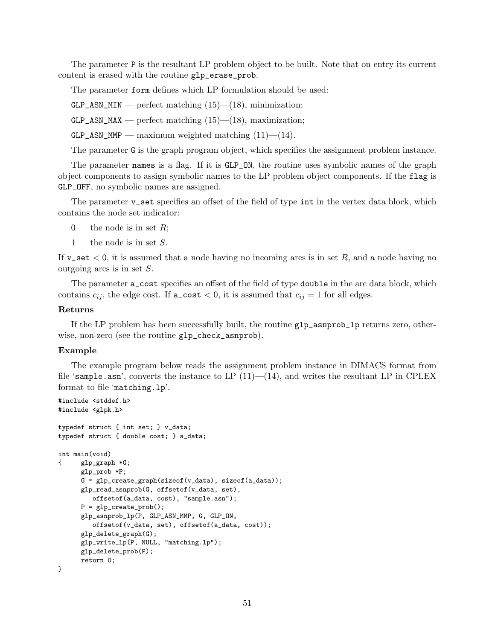The parameter P is the resultant LP problem object to be built. Note that on entry its current content is erased with the routine glp\_erase\_prob.

The parameter form defines which LP formulation should be used:

 $GLP\_ASN\_MIN$  — perfect matching  $(15)$ — $(18)$ , minimization;

 $GLP\_ASN\_MAX$  — perfect matching (15)—(18), maximization;

 $GLP\_ASN\_MMP$  — maximum weighted matching  $(11)$ — $(14)$ .

The parameter G is the graph program object, which specifies the assignment problem instance.

The parameter names is a flag. If it is GLP\_ON, the routine uses symbolic names of the graph object components to assign symbolic names to the LP problem object components. If the flag is GLP\_OFF, no symbolic names are assigned.

The parameter v\_set specifies an offset of the field of type int in the vertex data block, which contains the node set indicator:

 $0$  — the node is in set R;

1 — the node is in set *S*.

If v\_set *<* 0, it is assumed that a node having no incoming arcs is in set *R*, and a node having no outgoing arcs is in set *S*.

The parameter a\_cost specifies an offset of the field of type double in the arc data block, which contains  $c_{ij}$ , the edge cost. If  $a_{\text{cost}} < 0$ , it is assumed that  $c_{ij} = 1$  for all edges.

#### **Returns**

If the LP problem has been successfully built, the routine glp\_asnprob\_lp returns zero, otherwise, non-zero (see the routine glp\_check\_asnprob).

#### **Example**

The example program below reads the assignment problem instance in DIMACS format from file 'sample.asn', converts the instance to LP  $(11)$ — $(14)$ , and writes the resultant LP in CPLEX format to file 'matching.lp'.

```
#include <stddef.h>
#include <glpk.h>
typedef struct { int set; } v_data;
typedef struct { double cost; } a_data;
int main(void)
{ glp_graph *G;
      glp_prob *P;
      G = glp_create_graph(sizeof(v_data), sizeof(a_data));
      glp_read_asnprob(G, offsetof(v_data, set),
         offsetof(a_data, cost), "sample.asn");
      P = glp\_create\_prob();
      glp_asnprob_lp(P, GLP_ASN_MMP, G, GLP_ON,
         offsetof(v_data, set), offsetof(a_data, cost));
      glp_delete_graph(G);
      glp_write_lp(P, NULL, "matching.lp");
      glp_delete_prob(P);
      return 0;
}
```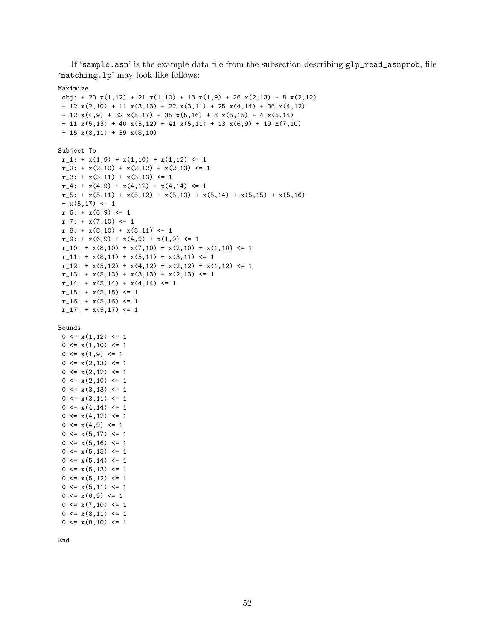If 'sample.asn' is the example data file from the subsection describing glp\_read\_asnprob, file 'matching.lp' may look like follows:

#### Maximize

```
obj: + 20 x(1,12) + 21 x(1,10) + 13 x(1,9) + 26 x(2,13) + 8 x(2,12)+ 12 x(2,10) + 11 x(3,13) + 22 x(3,11) + 25 x(4,14) + 36 x(4,12)+ 12 x(4,9) + 32 x(5,17) + 35 x(5,16) + 8 x(5,15) + 4 x(5,14)
 + 11 x(5,13) + 40 x(5,12) + 41 x(5,11) + 13 x(6,9) + 19 x(7,10)
 + 15 x(8,11) + 39 x(8,10)
Subject To
r_{-1}: + x(1,9) + x(1,10) + x(1,12) <= 1
r_{-2}: + x(2,10) + x(2,12) + x(2,13) <= 1
r_3: + x(3,11) + x(3,13) \leq 1r_4: + x(4,9) + x(4,12) + x(4,14) <= 1
r_5: + x(5,11) + x(5,12) + x(5,13) + x(5,14) + x(5,15) + x(5,16)+ x(5,17) \leq 1r_6: + x(6,9) <= 1
r_2: + x(7,10) <= 1
 r_8: + x(8,10) + x(8,11) \leq 1r_9: + x(6,9) + x(4,9) + x(1,9) \leq 1r_10: + x(8,10) + x(7,10) + x(2,10) + x(1,10) \leq 1r_11: + x(8,11) + x(5,11) + x(3,11) \leq 1r_12: + x(5,12) + x(4,12) + x(2,12) + x(1,12) \leq 1r_{13}: + x(5,13) + x(3,13) + x(2,13) \leq 1r_{-}14: + x(5,14) + x(4,14) \leq 1r_15: + x(5,15) \leq 1r_16: + x(5,16) \leq 1r_17: + x(5,17) <= 1
Bounds
 0 \leq x(1,12) \leq 10 \leq x(1,10) \leq 10 \leq x(1, 9) \leq 10 \leq x(2,13) \leq 10 \leq x(2,12) \leq 10 \leq x(2,10) \leq 10 \leq x(3,13) \leq 10 \leq x(3,11) \leq 10 \leq x(4, 14) \leq 10 \leq x(4,12) \leq 10 \leq x(4,9) \leq 1
```
End

 $0 \leq x(5, 17) \leq 1$  $0 \leq x(5,16) \leq 1$  $0 \leq x(5, 15) \leq 1$  $0 \leq x(5, 14) \leq 1$  $0 \leq x(5, 13) \leq 1$  $0 \leq x(5, 12) \leq 1$  $0 \leq x(5, 11) \leq 1$  $0 \leq x(6, 9) \leq 1$  $0 \leq x(7,10) \leq 1$  $0 \leq x(8,11) \leq 1$  $0 \leq x(8,10) \leq 1$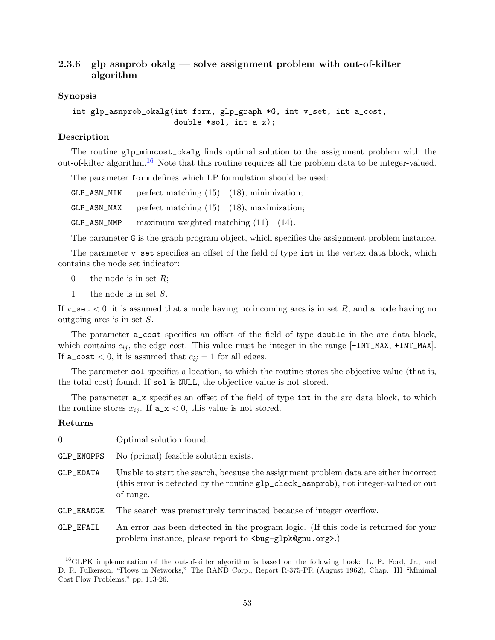## <span id="page-52-0"></span>**2.3.6 glp asnprob okalg — solve assignment problem with out-of-kilter algorithm**

## **Synopsis**

int glp\_asnprob\_okalg(int form, glp\_graph \*G, int v\_set, int a\_cost, double \*sol, int a\_x);

## **Description**

The routine glp\_mincost\_okalg finds optimal solution to the assignment problem with the out-of-kilter algorithm.[16](#page-52-1) Note that this routine requires all the problem data to be integer-valued.

The parameter form defines which LP formulation should be used:

 $GLP\_ASN\_MIN$  — perfect matching  $(15)$ — $(18)$ , minimization;

 $GLP\_ASN\_MAX$  — perfect matching (15)—(18), maximization;

 $GLP\_ASN\_MMP$  — maximum weighted matching  $(11)$ — $(14)$ .

The parameter G is the graph program object, which specifies the assignment problem instance.

The parameter **v\_set** specifies an offset of the field of type int in the vertex data block, which contains the node set indicator:

 $0$  — the node is in set *R*;

1 — the node is in set *S*.

If v\_set *<* 0, it is assumed that a node having no incoming arcs is in set *R*, and a node having no outgoing arcs is in set *S*.

The parameter a\_cost specifies an offset of the field of type double in the arc data block, which contains  $c_{ij}$ , the edge cost. This value must be integer in the range  $[-INT\_MAX, +INT\_MAX]$ . If  $a\_{cost} < 0$ , it is assumed that  $c_{ij} = 1$  for all edges.

The parameter sol specifies a location, to which the routine stores the objective value (that is, the total cost) found. If sol is NULL, the objective value is not stored.

The parameter  $a_x$  specifies an offset of the field of type int in the arc data block, to which the routine stores  $x_{ij}$ . If  $a_x < 0$ , this value is not stored.

#### **Returns**

| $\Omega$   | Optimal solution found.                                                                                                                                                                                                 |
|------------|-------------------------------------------------------------------------------------------------------------------------------------------------------------------------------------------------------------------------|
| GLP_ENOPFS | No (primal) feasible solution exists.                                                                                                                                                                                   |
| GLP_EDATA  | Unable to start the search, because the assignment problem data are either incorrect<br>(this error is detected by the routine glp_check_asnprob), not integer-valued or out<br>of range.                               |
| GLP_ERANGE | The search was prematurely terminated because of integer overflow.                                                                                                                                                      |
| GLP_EFAIL  | An error has been detected in the program logic. (If this code is returned for your<br>problem instance, please report to<br><br><br><br><br><br><br>pleads (problem instance, please report to<br><br><br><br><br><br> |

<span id="page-52-1"></span> $^{16}$ GLPK implementation of the out-of-kilter algorithm is based on the following book: L. R. Ford, Jr., and D. R. Fulkerson, "Flows in Networks," The RAND Corp., Report R-375-PR (August 1962), Chap. III "Minimal Cost Flow Problems," pp. 113-26.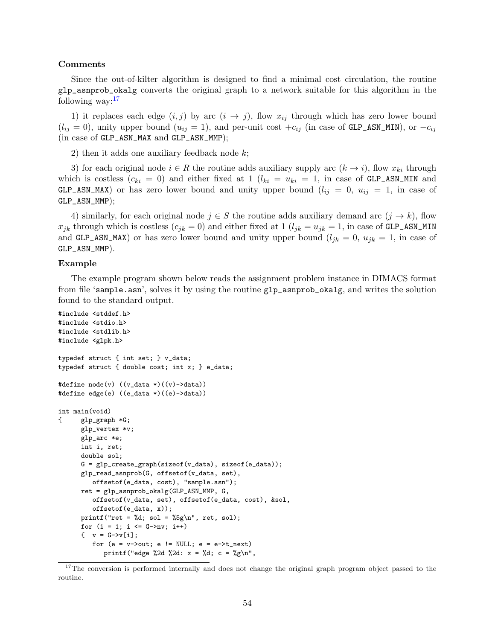#### **Comments**

Since the out-of-kilter algorithm is designed to find a minimal cost circulation, the routine glp\_asnprob\_okalg converts the original graph to a network suitable for this algorithm in the following way: $17$ 

1) it replaces each edge  $(i, j)$  by arc  $(i \rightarrow j)$ , flow  $x_{ij}$  through which has zero lower bound  $(l_{ij} = 0)$ , unity upper bound  $(u_{ij} = 1)$ , and per-unit cost  $+c_{ij}$  (in case of GLP\_ASN\_MIN), or  $-c_{ij}$ (in case of GLP\_ASN\_MAX and GLP\_ASN\_MMP);

2) then it adds one auxiliary feedback node *k*;

3) for each original node  $i \in R$  the routine adds auxiliary supply arc  $(k \to i)$ , flow  $x_{ki}$  through which is costless  $(c_{ki} = 0)$  and either fixed at 1  $(l_{ki} = u_{ki} = 1)$ , in case of GLP\_ASN\_MIN and GLP\_ASN\_MAX) or has zero lower bound and unity upper bound  $(l_{ij} = 0, u_{ij} = 1, \text{ in case of})$ GLP\_ASN\_MMP);

4) similarly, for each original node  $j \in S$  the routine adds auxiliary demand arc  $(j \to k)$ , flow  $x_{jk}$  through which is costless  $(c_{jk} = 0)$  and either fixed at 1  $(l_{jk} = u_{jk} = 1$ , in case of GLP\_ASN\_MIN and GLP\_ASN\_MAX) or has zero lower bound and unity upper bound  $(l_{jk} = 0, u_{jk} = 1, \text{ in case of})$ GLP\_ASN\_MMP).

#### **Example**

The example program shown below reads the assignment problem instance in DIMACS format from file 'sample.asn', solves it by using the routine glp\_asnprob\_okalg, and writes the solution found to the standard output.

```
#include <stddef.h>
#include <stdio.h>
#include <stdlib.h>
#include <glpk.h>
typedef struct { int set; } v_data;
typedef struct { double cost; int x; } e_data;
#define node(v) ((v_data *)((v) - >data))#define edge(e) ((e_data *)((e)->data))
int main(void)
{ glp_graph *G;
      glp_vertex *v;
      glp_arc *e;
      int i, ret;
      double sol;
      G = glp_create_graph(sizeof(v_data), sizeof(e_data));
      glp_read_asnprob(G, offsetof(v_data, set),
         offsetof(e_data, cost), "sample.asn");
      ret = glp_asnprob_okalg(GLP_ASN_MMP, G,
         offsetof(v_data, set), offsetof(e_data, cost), &sol,
         offsetof(e_data, x));
      printf("ret = \lambda d; sol = \delta \sg\n", ret, sol);
      for (i = 1; i \leq G->nv; i++)\{ v = G - \nu[i];for (e = v\rightarrow out; e != NULL; e = e\rightarrow t\_next)printf("edge %2d %2d: x = %d; c = %g\n",
```
<span id="page-53-0"></span><sup>&</sup>lt;sup>17</sup>The conversion is performed internally and does not change the original graph program object passed to the routine.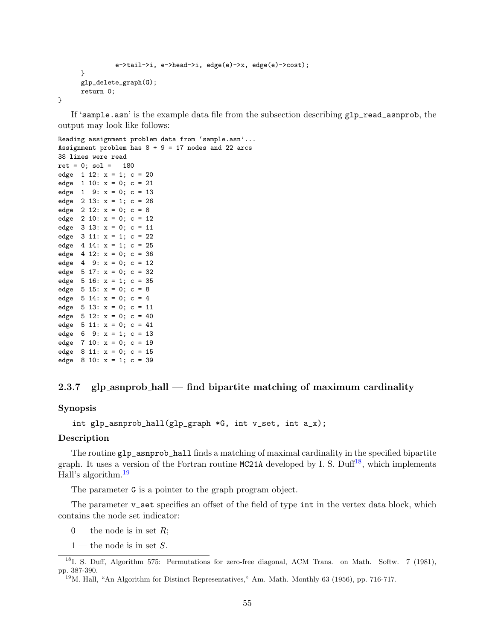```
e->tail->i, e->head->i, edge(e)->x, edge(e)->cost);
}
glp_delete_graph(G);
return 0;
```
If 'sample.asn' is the example data file from the subsection describing glp\_read\_asnprob, the output may look like follows:

```
Reading assignment problem data from 'sample.asn'...
Assignment problem has 8 + 9 = 17 nodes and 22 arcs
38 lines were read
ret = 0; sol = 180
edge 1 \ 12: x = 1; c = 20edge 1 10: x = 0; c = 21edge 1 \t9: x = 0; c = 13edge 2 \ 13: x = 1; c = 26edge 2 12: x = 0; c = 8
edge 2 10: x = 0; c = 12edge 3 13: x = 0; c = 11
edge 3 11: x = 1; c = 22
edge 4 \ 14: x = 1; c = 25edge 4 12: x = 0; c = 36
edge 4 9: x = 0; c = 12
edge 5 \ 17: x = 0; c = 32edge 5 16: x = 1; c = 35
edge 5 15: x = 0; c = 8
edge 5 14: x = 0; c = 4
edge 5 \ 13: x = 0; c = 11edge 5 12: x = 0; c = 40edge 5 11: x = 0; c = 41edge 6 9: x = 1; c = 13
edge 7 10: x = 0; c = 19
edge 8 11: x = 0; c = 15
edge 8 10: x = 1; c = 39
```
## <span id="page-54-0"></span>**2.3.7 glp asnprob hall — find bipartite matching of maximum cardinality**

**Synopsis**

}

```
int glp_asnprob_hall(glp_graph *G, int v_set, int a_x);
```
#### **Description**

The routine glp\_asnprob\_hall finds a matching of maximal cardinality in the specified bipartite graph. It uses a version of the Fortran routine MC21A developed by I. S. Duff<sup>[18](#page-54-1)</sup>, which implements Hall's algorithm.[19](#page-54-2)

The parameter G is a pointer to the graph program object.

The parameter **v\_set** specifies an offset of the field of type int in the vertex data block, which contains the node set indicator:

 $0$  — the node is in set *R*;

<span id="page-54-1"></span><sup>1 —</sup> the node is in set *S*.

<sup>&</sup>lt;sup>18</sup>I. S. Duff, Algorithm 575: Permutations for zero-free diagonal, ACM Trans. on Math. Softw. 7 (1981), pp. 387-390.

<span id="page-54-2"></span><sup>19</sup>M. Hall, "An Algorithm for Distinct Representatives," Am. Math. Monthly 63 (1956), pp. 716-717.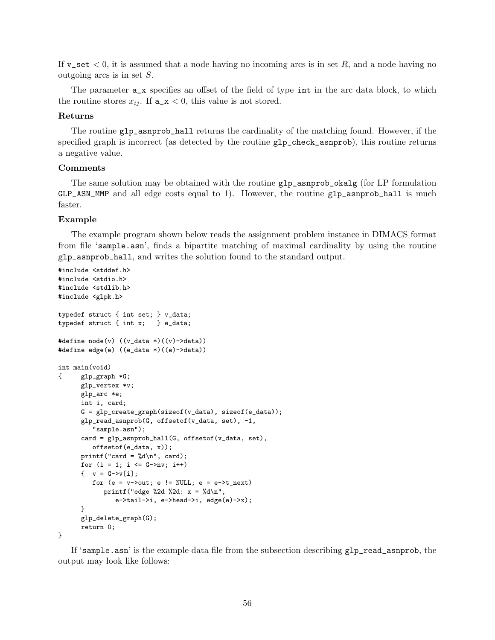If v\_set *<* 0, it is assumed that a node having no incoming arcs is in set *R*, and a node having no outgoing arcs is in set *S*.

The parameter  $a_x$  specifies an offset of the field of type int in the arc data block, to which the routine stores  $x_{ij}$ . If  $a_x < 0$ , this value is not stored.

#### **Returns**

The routine glp\_asnprob\_hall returns the cardinality of the matching found. However, if the specified graph is incorrect (as detected by the routine glp\_check\_asnprob), this routine returns a negative value.

#### **Comments**

The same solution may be obtained with the routine glp\_asnprob\_okalg (for LP formulation GLP\_ASN\_MMP and all edge costs equal to 1). However, the routine glp\_asnprob\_hall is much faster.

#### **Example**

The example program shown below reads the assignment problem instance in DIMACS format from file 'sample.asn', finds a bipartite matching of maximal cardinality by using the routine glp\_asnprob\_hall, and writes the solution found to the standard output.

```
#include <stddef.h>
#include <stdio.h>
#include <stdlib.h>
#include <glpk.h>
typedef struct { int set; } v_data;
typedef struct { int x; } e_data;
#define node(v) ((v_data *)((v) - >data))#define edge(e) ((e_data *)((e)->data))
int main(void)
{ glp_graph *G;
      glp_vertex *v;
      glp_arc *e;
      int i, card;
      G = glp\_create\_graph(sizeof(v_data), sizeof(e_data));glp_read_asnprob(G, offsetof(v_data, set), -1,
          "sample.asn");
      card = glp_asnprob_hall(G, offsetof(v_data, set),
         offsetof(e_data, x));
      printf("card = \lambda d \nightharpoonup", card);
      for (i = 1; i \leq G->nv; i++)\{ v = G - \nu[i];for (e = v\rightarrow out; e != NULL; e = e\rightarrow t_new)printf("edge %2d %2d: x = \sqrt{d} \ln",
                e->tail->i, e->head->i, edge(e)->x);
      }
      glp_delete_graph(G);
      return 0;
```
}

If 'sample.asn' is the example data file from the subsection describing glp\_read\_asnprob, the output may look like follows: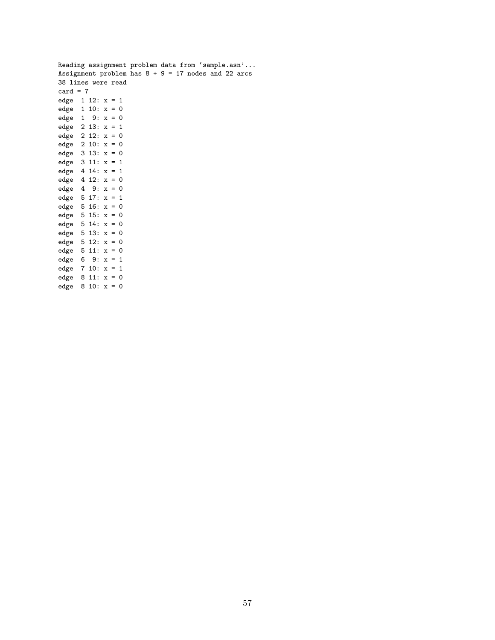|                       |            |  |  |  |  |  | Reading assignment problem data from 'sample.asn'     |
|-----------------------|------------|--|--|--|--|--|-------------------------------------------------------|
|                       |            |  |  |  |  |  | Assignment problem has $8 + 9 = 17$ nodes and 22 arcs |
| 38 lines were read    |            |  |  |  |  |  |                                                       |
| card = $7$            |            |  |  |  |  |  |                                                       |
| edge $1 \ 12: x = 1$  |            |  |  |  |  |  |                                                       |
| edge $1 10: x = 0$    |            |  |  |  |  |  |                                                       |
| edge $1 \t9: x = 0$   |            |  |  |  |  |  |                                                       |
| edge $2 13: x = 1$    |            |  |  |  |  |  |                                                       |
| edge $2 12: x = 0$    |            |  |  |  |  |  |                                                       |
| edge $2 10: x = 0$    |            |  |  |  |  |  |                                                       |
| edge $3 13: x = 0$    |            |  |  |  |  |  |                                                       |
| edge $3 11: x = 1$    |            |  |  |  |  |  |                                                       |
| edge $4 14: x = 1$    |            |  |  |  |  |  |                                                       |
| edge $4 12: x = 0$    |            |  |  |  |  |  |                                                       |
| edge $4 \t 9: x = 0$  |            |  |  |  |  |  |                                                       |
| edge $5 17: x = 1$    |            |  |  |  |  |  |                                                       |
| edge $5 16: x = 0$    |            |  |  |  |  |  |                                                       |
| edge $5 15: x = 0$    |            |  |  |  |  |  |                                                       |
| edge $5 14: x = 0$    |            |  |  |  |  |  |                                                       |
| edge $5 13: x = 0$    |            |  |  |  |  |  |                                                       |
| edge $5 12: x = 0$    |            |  |  |  |  |  |                                                       |
| edge $5 11: x = 0$    |            |  |  |  |  |  |                                                       |
| edge 6                | $9: x = 1$ |  |  |  |  |  |                                                       |
| edge $7 10: x = 1$    |            |  |  |  |  |  |                                                       |
| edge $8 \, 11: x = 0$ |            |  |  |  |  |  |                                                       |

edge 8 10: x = 0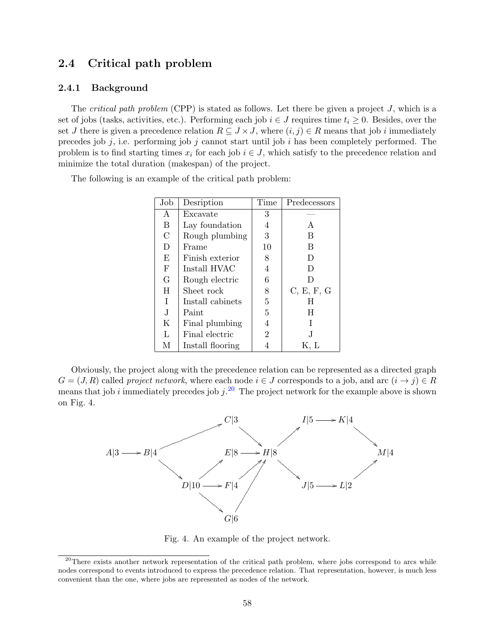# <span id="page-57-0"></span>**2.4 Critical path problem**

#### <span id="page-57-1"></span>**2.4.1 Background**

The *critical path problem* (CPP) is stated as follows. Let there be given a project *J*, which is a set of jobs (tasks, activities, etc.). Performing each job  $i \in J$  requires time  $t_i \geq 0$ . Besides, over the set *J* there is given a precedence relation  $R \subseteq J \times J$ , where  $(i, j) \in R$  means that job *i* immediately precedes job *j*, i.e. performing job *j* cannot start until job *i* has been completely performed. The problem is to find starting times  $x_i$  for each job  $i \in J$ , which satisfy to the precedence relation and minimize the total duration (makespan) of the project.

The following is an example of the critical path problem:

| Job        | Desription       | Time | Predecessors |
|------------|------------------|------|--------------|
| A          | Excavate         | 3    |              |
| B          | Lay foundation   | 4    | А            |
| C          | Rough plumbing   | 3    | В            |
| D          | Frame            | 10   | B            |
| E          | Finish exterior  | 8    | D            |
| $_{\rm F}$ | Install HVAC     | 4    | Ð            |
| G          | Rough electric   | 6    | D            |
| Η          | Sheet rock       | 8    | C, E, F, G   |
| T          | Install cabinets | 5    | Н            |
| J.         | Paint            | 5    | H            |
| Κ          | Final plumbing   | 4    |              |
| L          | Final electric   | 2    | J.           |
| М          | Install flooring |      | K. L         |

Obviously, the project along with the precedence relation can be represented as a directed graph  $G = (J, R)$  called *project network*, where each node  $i \in J$  corresponds to a job, and arc  $(i \rightarrow j) \in R$ means that job *i* immediately precedes job  $j^{20}$  $j^{20}$  $j^{20}$ . The project network for the example above is shown on Fig. 4.



Fig. 4. An example of the project network.

<span id="page-57-2"></span> $^{20}$ There exists another network representation of the critical path problem, where jobs correspond to arcs while nodes correspond to events introduced to express the precedence relation. That representation, however, is much less convenient than the one, where jobs are represented as nodes of the network.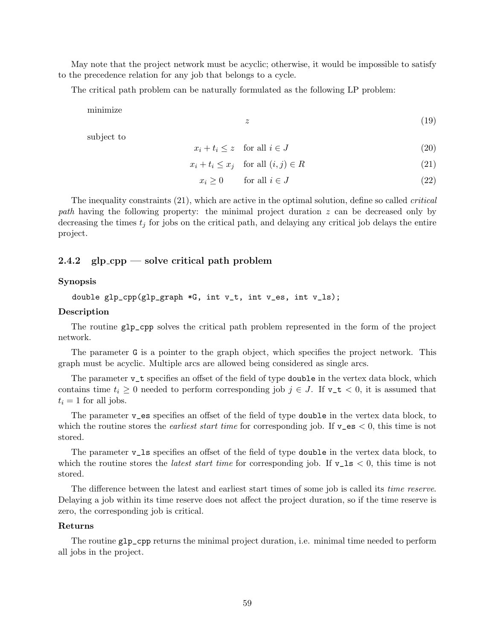May note that the project network must be acyclic; otherwise, it would be impossible to satisfy to the precedence relation for any job that belongs to a cycle.

The critical path problem can be naturally formulated as the following LP problem:

minimize

*z* (19)

subject to

$$
x_i + t_i \le z \quad \text{for all } i \in J \tag{20}
$$

$$
x_i + t_i \le x_j \quad \text{for all } (i, j) \in R \tag{21}
$$

$$
x_i \ge 0 \qquad \text{for all } i \in J \tag{22}
$$

The inequality constraints (21), which are active in the optimal solution, define so called *critical path* having the following property: the minimal project duration *z* can be decreased only by decreasing the times *t<sup>j</sup>* for jobs on the critical path, and delaying any critical job delays the entire project.

### <span id="page-58-0"></span>**2.4.2 glp cpp — solve critical path problem**

## **Synopsis**

```
double glp_cpp(glp_graph *G, int v_t, int v_es, int v_ls);
```
## **Description**

The routine glp\_cpp solves the critical path problem represented in the form of the project network.

The parameter G is a pointer to the graph object, which specifies the project network. This graph must be acyclic. Multiple arcs are allowed being considered as single arcs.

The parameter  $v_t$  specifies an offset of the field of type **double** in the vertex data block, which contains time  $t_i \geq 0$  needed to perform corresponding job  $j \in J$ . If  $v_t \neq 0$ , it is assumed that  $t_i = 1$  for all jobs.

The parameter v\_es specifies an offset of the field of type double in the vertex data block, to which the routine stores the *earliest start time* for corresponding job. If v\_es *<* 0, this time is not stored.

The parameter v\_ls specifies an offset of the field of type double in the vertex data block, to which the routine stores the *latest start time* for corresponding job. If  $v_l$  is  $\lt 0$ , this time is not stored.

The difference between the latest and earliest start times of some job is called its *time reserve*. Delaying a job within its time reserve does not affect the project duration, so if the time reserve is zero, the corresponding job is critical.

#### **Returns**

The routine glp\_cpp returns the minimal project duration, i.e. minimal time needed to perform all jobs in the project.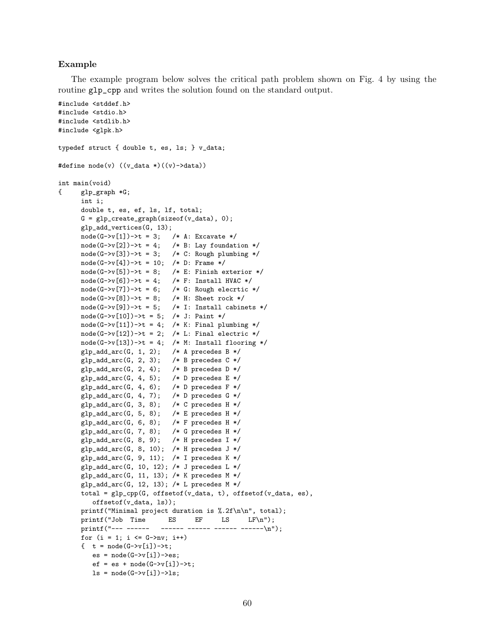#### **Example**

The example program below solves the critical path problem shown on Fig. 4 by using the routine glp\_cpp and writes the solution found on the standard output.

```
#include <stddef.h>
#include <stdio.h>
#include <stdlib.h>
#include <glpk.h>
typedef struct { double t, es, ls; } v_data;
#define node(v) ((v_data *)((v) - >data))int main(void)
{ glp_graph *G;
     int i;
     double t, es, ef, ls, lf, total;
     G = g1p\_create\_graph(sizeof(v\_data), 0);glp_add_vertices(G, 13);
     node(G->v[1])->t = 3; /* A: Excavate */
     node(G->v[2])->t = 4; /* B: Lay foundation */
     node(G->v[3])->t = 3; /* C: Rough plumbing */
     node(G->v[4])->t = 10; /* D: Frame */
     node(G->v[5])->t = 8; /* E: Finish exterior */
     node(G->v[6])->t = 4; /* F: Install HVAC */
     node(G-\nu[7])-\geq t = 6; /* G: Rough elecrtic */
     node(G->v[8])->t = 8; /* H: Sheet rock */
     node(G->v[9])->t = 5; /* I: Install cabinets */
     node(G->v[10])->t = 5; /* J: Paint */
     node(G->v[11])->t = 4; /* K: Final plumbing */
     node(G->v[12])->t = 2; /* L: Final electric */
     node(G->v[13])->t = 4; /* M: Install flooring */
     glp\_add\_arc(G, 1, 2); /* A precedes B */
     glp\_add\_arc(G, 2, 3); /* B precedes C */
     glp\_add\_arc(G, 2, 4); /* B precedes D */
     glp\_add\_arc(G, 4, 5); /* D precedes E */
     glp\_add\_arc(G, 4, 6); /* D precedes F */
     glp\_add\_arc(G, 4, 7); /* D precedes G * /glp\_add\_arc(G, 3, 8); /* C precedes H */
     glp\_add\_arc(G, 5, 8); /* E precedes H */
     glp\_add\_arc(G, 6, 8); /* F precedes H */
     glp\_add\_arc(G, 7, 8); /* G precedes H */
     glp_add_arc(G, 8, 9); /* H precedes I */
      glp_add_arc(G, 8, 10); /* H precedes J */
     glp_add_arc(G, 9, 11); /* I precedes K */
     glp_add_arc(G, 10, 12); /* J precedes L */
     glp\_add\_arc(G, 11, 13); /* K precedes M */
     glp_add_arc(G, 12, 13); /* L precedes M */
     total = glp_cpp(G, offsetof(v_data, t), offsetof(v_data, es),
        offsetof(v_data, ls));
     printf("Minimal project duration is %.2f\n\n", total);
     printf("Job Time ES EF LS LF\n");
     printf("--- ------ ------ ------ ------ ------\n");
     for (i = 1; i \le G->nv; i++){t = node(G->v[i])->t;es = node(G->v[i])->es;ef = es + node(G->v[i])->t;ls = node(G->v[i])->ls;
```